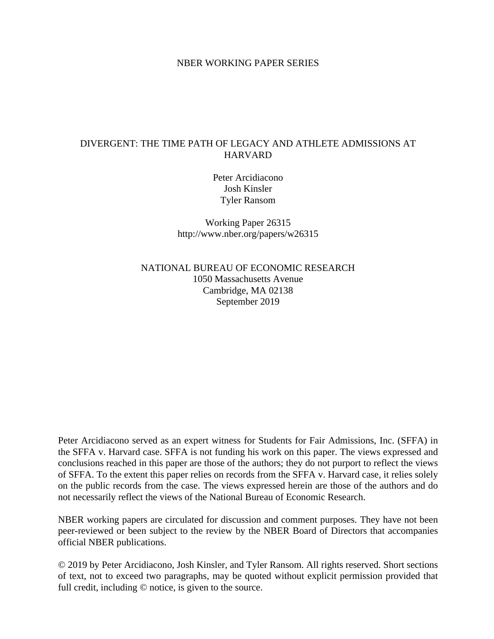#### NBER WORKING PAPER SERIES

#### DIVERGENT: THE TIME PATH OF LEGACY AND ATHLETE ADMISSIONS AT HARVARD

Peter Arcidiacono Josh Kinsler Tyler Ransom

Working Paper 26315 http://www.nber.org/papers/w26315

NATIONAL BUREAU OF ECONOMIC RESEARCH 1050 Massachusetts Avenue Cambridge, MA 02138 September 2019

Peter Arcidiacono served as an expert witness for Students for Fair Admissions, Inc. (SFFA) in the SFFA v. Harvard case. SFFA is not funding his work on this paper. The views expressed and conclusions reached in this paper are those of the authors; they do not purport to reflect the views of SFFA. To the extent this paper relies on records from the SFFA v. Harvard case, it relies solely on the public records from the case. The views expressed herein are those of the authors and do not necessarily reflect the views of the National Bureau of Economic Research.

NBER working papers are circulated for discussion and comment purposes. They have not been peer-reviewed or been subject to the review by the NBER Board of Directors that accompanies official NBER publications.

© 2019 by Peter Arcidiacono, Josh Kinsler, and Tyler Ransom. All rights reserved. Short sections of text, not to exceed two paragraphs, may be quoted without explicit permission provided that full credit, including © notice, is given to the source.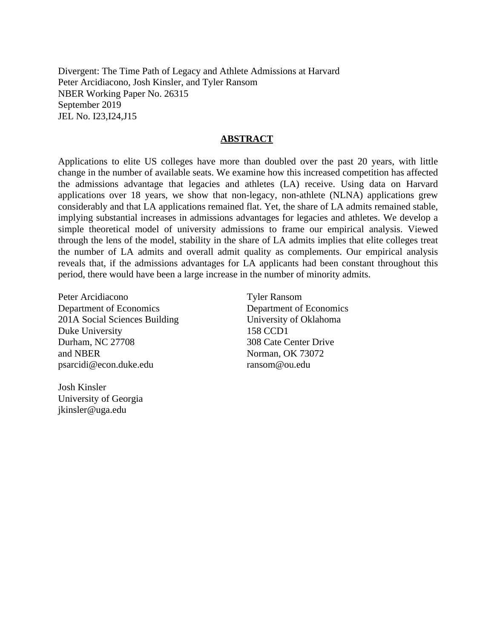Divergent: The Time Path of Legacy and Athlete Admissions at Harvard Peter Arcidiacono, Josh Kinsler, and Tyler Ransom NBER Working Paper No. 26315 September 2019 JEL No. I23,I24,J15

#### **ABSTRACT**

Applications to elite US colleges have more than doubled over the past 20 years, with little change in the number of available seats. We examine how this increased competition has affected the admissions advantage that legacies and athletes (LA) receive. Using data on Harvard applications over 18 years, we show that non-legacy, non-athlete (NLNA) applications grew considerably and that LA applications remained flat. Yet, the share of LA admits remained stable, implying substantial increases in admissions advantages for legacies and athletes. We develop a simple theoretical model of university admissions to frame our empirical analysis. Viewed through the lens of the model, stability in the share of LA admits implies that elite colleges treat the number of LA admits and overall admit quality as complements. Our empirical analysis reveals that, if the admissions advantages for LA applicants had been constant throughout this period, there would have been a large increase in the number of minority admits.

Peter Arcidiacono Department of Economics 201A Social Sciences Building Duke University Durham, NC 27708 and NBER psarcidi@econ.duke.edu

Josh Kinsler University of Georgia jkinsler@uga.edu

Tyler Ransom Department of Economics University of Oklahoma 158 CCD1 308 Cate Center Drive Norman, OK 73072 ransom@ou.edu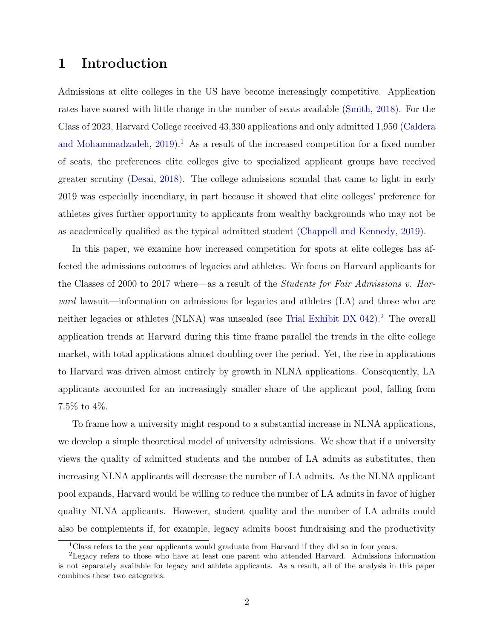## 1 Introduction

Admissions at elite colleges in the US have become increasingly competitive. Application rates have soared with little change in the number of seats available [\(Smith,](#page-24-0) [2018\)](#page-24-0). For the Class of 2023, Harvard College received 43,330 applications and only admitted 1,950 [\(Caldera](#page-22-0) [and Mohammadzadeh,](#page-22-0)  $2019$  $2019$  $2019$ <sup>1</sup>. As a result of the increased competition for a fixed number of seats, the preferences elite colleges give to specialized applicant groups have received greater scrutiny [\(Desai,](#page-22-1) [2018\)](#page-22-1). The college admissions scandal that came to light in early 2019 was especially incendiary, in part because it showed that elite colleges' preference for athletes gives further opportunity to applicants from wealthy backgrounds who may not be as academically qualified as the typical admitted student [\(Chappell and Kennedy,](#page-22-2) [2019\)](#page-22-2).

In this paper, we examine how increased competition for spots at elite colleges has affected the admissions outcomes of legacies and athletes. We focus on Harvard applicants for the Classes of 2000 to 2017 where—as a result of the Students for Fair Admissions v. Harvard lawsuit—information on admissions for legacies and athletes (LA) and those who are neither legacies or athletes (NLNA) was unsealed (see [Trial Exhibit DX 042\)](#page-24-1).[2](#page-2-1) The overall application trends at Harvard during this time frame parallel the trends in the elite college market, with total applications almost doubling over the period. Yet, the rise in applications to Harvard was driven almost entirely by growth in NLNA applications. Consequently, LA applicants accounted for an increasingly smaller share of the applicant pool, falling from 7.5% to 4%.

To frame how a university might respond to a substantial increase in NLNA applications, we develop a simple theoretical model of university admissions. We show that if a university views the quality of admitted students and the number of LA admits as substitutes, then increasing NLNA applicants will decrease the number of LA admits. As the NLNA applicant pool expands, Harvard would be willing to reduce the number of LA admits in favor of higher quality NLNA applicants. However, student quality and the number of LA admits could also be complements if, for example, legacy admits boost fundraising and the productivity

<span id="page-2-1"></span><span id="page-2-0"></span><sup>&</sup>lt;sup>1</sup>Class refers to the year applicants would graduate from Harvard if they did so in four years.

<sup>&</sup>lt;sup>2</sup>Legacy refers to those who have at least one parent who attended Harvard. Admissions information is not separately available for legacy and athlete applicants. As a result, all of the analysis in this paper combines these two categories.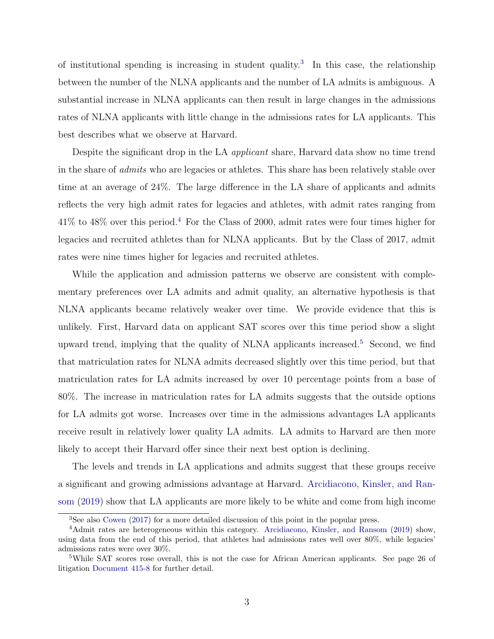of institutional spending is increasing in student quality.<sup>[3](#page-3-0)</sup> In this case, the relationship between the number of the NLNA applicants and the number of LA admits is ambiguous. A substantial increase in NLNA applicants can then result in large changes in the admissions rates of NLNA applicants with little change in the admissions rates for LA applicants. This best describes what we observe at Harvard.

Despite the significant drop in the LA *applicant* share, Harvard data show no time trend in the share of admits who are legacies or athletes. This share has been relatively stable over time at an average of 24%. The large difference in the LA share of applicants and admits reflects the very high admit rates for legacies and athletes, with admit rates ranging from 41% to 48% over this period.[4](#page-3-1) For the Class of 2000, admit rates were four times higher for legacies and recruited athletes than for NLNA applicants. But by the Class of 2017, admit rates were nine times higher for legacies and recruited athletes.

While the application and admission patterns we observe are consistent with complementary preferences over LA admits and admit quality, an alternative hypothesis is that NLNA applicants became relatively weaker over time. We provide evidence that this is unlikely. First, Harvard data on applicant SAT scores over this time period show a slight upward trend, implying that the quality of NLNA applicants increased.<sup>[5](#page-3-2)</sup> Second, we find that matriculation rates for NLNA admits decreased slightly over this time period, but that matriculation rates for LA admits increased by over 10 percentage points from a base of 80%. The increase in matriculation rates for LA admits suggests that the outside options for LA admits got worse. Increases over time in the admissions advantages LA applicants receive result in relatively lower quality LA admits. LA admits to Harvard are then more likely to accept their Harvard offer since their next best option is declining.

The levels and trends in LA applications and admits suggest that these groups receive a significant and growing admissions advantage at Harvard. [Arcidiacono, Kinsler, and Ran](#page-22-3)[som](#page-22-3) [\(2019\)](#page-22-3) show that LA applicants are more likely to be white and come from high income

<span id="page-3-1"></span><span id="page-3-0"></span><sup>3</sup>See also [Cowen](#page-22-4) [\(2017\)](#page-22-4) for a more detailed discussion of this point in the popular press.

<sup>&</sup>lt;sup>4</sup>Admit rates are heterogeneous within this category. [Arcidiacono, Kinsler, and Ransom](#page-22-3) [\(2019\)](#page-22-3) show, using data from the end of this period, that athletes had admissions rates well over 80%, while legacies' admissions rates were over 30%.

<span id="page-3-2"></span><sup>&</sup>lt;sup>5</sup>While SAT scores rose overall, this is not the case for African American applicants. See page 26 of litigation [Document 415-8](#page-23-0) for further detail.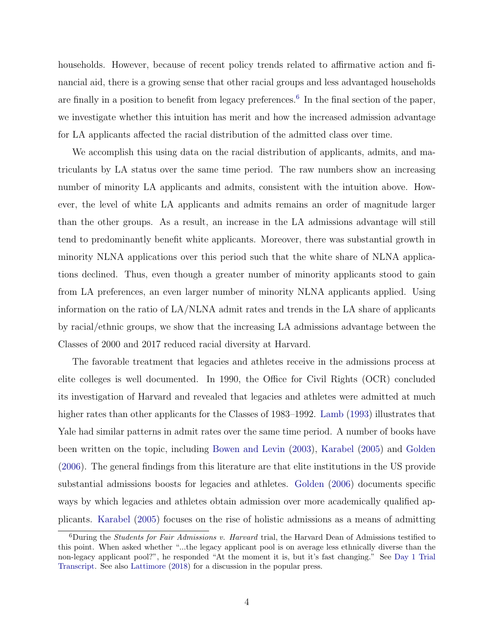households. However, because of recent policy trends related to affirmative action and financial aid, there is a growing sense that other racial groups and less advantaged households are finally in a position to benefit from legacy preferences.<sup>[6](#page-4-0)</sup> In the final section of the paper, we investigate whether this intuition has merit and how the increased admission advantage for LA applicants affected the racial distribution of the admitted class over time.

We accomplish this using data on the racial distribution of applicants, admits, and matriculants by LA status over the same time period. The raw numbers show an increasing number of minority LA applicants and admits, consistent with the intuition above. However, the level of white LA applicants and admits remains an order of magnitude larger than the other groups. As a result, an increase in the LA admissions advantage will still tend to predominantly benefit white applicants. Moreover, there was substantial growth in minority NLNA applications over this period such that the white share of NLNA applications declined. Thus, even though a greater number of minority applicants stood to gain from LA preferences, an even larger number of minority NLNA applicants applied. Using information on the ratio of LA/NLNA admit rates and trends in the LA share of applicants by racial/ethnic groups, we show that the increasing LA admissions advantage between the Classes of 2000 and 2017 reduced racial diversity at Harvard.

The favorable treatment that legacies and athletes receive in the admissions process at elite colleges is well documented. In 1990, the Office for Civil Rights (OCR) concluded its investigation of Harvard and revealed that legacies and athletes were admitted at much higher rates than other applicants for the Classes of 1983–1992. [Lamb](#page-23-1) [\(1993\)](#page-23-1) illustrates that Yale had similar patterns in admit rates over the same time period. A number of books have been written on the topic, including [Bowen and Levin](#page-22-5) [\(2003\)](#page-22-5), [Karabel](#page-23-2) [\(2005\)](#page-23-2) and [Golden](#page-23-3) [\(2006\)](#page-23-3). The general findings from this literature are that elite institutions in the US provide substantial admissions boosts for legacies and athletes. [Golden](#page-23-3) [\(2006\)](#page-23-3) documents specific ways by which legacies and athletes obtain admission over more academically qualified applicants. [Karabel](#page-23-2) [\(2005\)](#page-23-2) focuses on the rise of holistic admissions as a means of admitting

<span id="page-4-0"></span><sup>6</sup>During the Students for Fair Admissions v. Harvard trial, the Harvard Dean of Admissions testified to this point. When asked whether "...the legacy applicant pool is on average less ethnically diverse than the non-legacy applicant pool?", he responded "At the moment it is, but it's fast changing." See [Day 1 Trial](#page-22-6) [Transcript.](#page-22-6) See also [Lattimore](#page-23-4) [\(2018\)](#page-23-4) for a discussion in the popular press.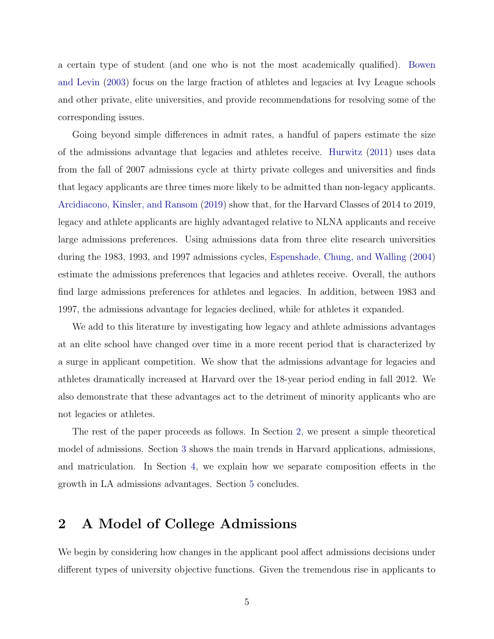a certain type of student (and one who is not the most academically qualified). [Bowen](#page-22-5) [and Levin](#page-22-5) [\(2003\)](#page-22-5) focus on the large fraction of athletes and legacies at Ivy League schools and other private, elite universities, and provide recommendations for resolving some of the corresponding issues.

Going beyond simple differences in admit rates, a handful of papers estimate the size of the admissions advantage that legacies and athletes receive. [Hurwitz](#page-23-5) [\(2011\)](#page-23-5) uses data from the fall of 2007 admissions cycle at thirty private colleges and universities and finds that legacy applicants are three times more likely to be admitted than non-legacy applicants. [Arcidiacono, Kinsler, and Ransom](#page-22-3) [\(2019\)](#page-22-3) show that, for the Harvard Classes of 2014 to 2019, legacy and athlete applicants are highly advantaged relative to NLNA applicants and receive large admissions preferences. Using admissions data from three elite research universities during the 1983, 1993, and 1997 admissions cycles, [Espenshade, Chung, and Walling](#page-23-6) [\(2004\)](#page-23-6) estimate the admissions preferences that legacies and athletes receive. Overall, the authors find large admissions preferences for athletes and legacies. In addition, between 1983 and 1997, the admissions advantage for legacies declined, while for athletes it expanded.

We add to this literature by investigating how legacy and athlete admissions advantages at an elite school have changed over time in a more recent period that is characterized by a surge in applicant competition. We show that the admissions advantage for legacies and athletes dramatically increased at Harvard over the 18-year period ending in fall 2012. We also demonstrate that these advantages act to the detriment of minority applicants who are not legacies or athletes.

The rest of the paper proceeds as follows. In Section [2,](#page-5-0) we present a simple theoretical model of admissions. Section [3](#page-9-0) shows the main trends in Harvard applications, admissions, and matriculation. In Section [4,](#page-13-0) we explain how we separate composition effects in the growth in LA admissions advantages. Section [5](#page-20-0) concludes.

### <span id="page-5-0"></span>2 A Model of College Admissions

We begin by considering how changes in the applicant pool affect admissions decisions under different types of university objective functions. Given the tremendous rise in applicants to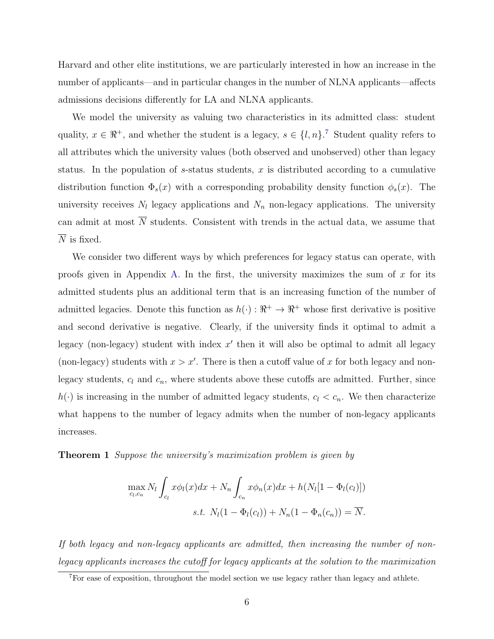Harvard and other elite institutions, we are particularly interested in how an increase in the number of applicants—and in particular changes in the number of NLNA applicants—affects admissions decisions differently for LA and NLNA applicants.

We model the university as valuing two characteristics in its admitted class: student quality,  $x \in \mathbb{R}^+$ , and whether the student is a legacy,  $s \in \{l, n\}$ .<sup>[7](#page-6-0)</sup> Student quality refers to all attributes which the university values (both observed and unobserved) other than legacy status. In the population of s-status students, x is distributed according to a cumulative distribution function  $\Phi_s(x)$  with a corresponding probability density function  $\phi_s(x)$ . The university receives  $N_l$  legacy applications and  $N_n$  non-legacy applications. The university can admit at most  $\overline{N}$  students. Consistent with trends in the actual data, we assume that  $\overline{N}$  is fixed.

We consider two different ways by which preferences for legacy status can operate, with proofs given in Appendix [A.](#page-30-0) In the first, the university maximizes the sum of  $x$  for its admitted students plus an additional term that is an increasing function of the number of admitted legacies. Denote this function as  $h(\cdot): \mathbb{R}^+ \to \mathbb{R}^+$  whose first derivative is positive and second derivative is negative. Clearly, if the university finds it optimal to admit a legacy (non-legacy) student with index  $x'$  then it will also be optimal to admit all legacy (non-legacy) students with  $x > x'$ . There is then a cutoff value of x for both legacy and nonlegacy students,  $c_l$  and  $c_n$ , where students above these cutoffs are admitted. Further, since  $h(\cdot)$  is increasing in the number of admitted legacy students,  $c_l < c_n$ . We then characterize what happens to the number of legacy admits when the number of non-legacy applicants increases.

**Theorem 1** Suppose the university's maximization problem is given by

$$
\max_{c_l,c_n} N_l \int_{c_l} x \phi_l(x) dx + N_n \int_{c_n} x \phi_n(x) dx + h(N_l[1 - \Phi_l(c_l)])
$$
  
s.t. 
$$
N_l(1 - \Phi_l(c_l)) + N_n(1 - \Phi_n(c_n)) = \overline{N}.
$$

If both legacy and non-legacy applicants are admitted, then increasing the number of nonlegacy applicants increases the cutoff for legacy applicants at the solution to the maximization

<span id="page-6-0"></span> $7F$  For ease of exposition, throughout the model section we use legacy rather than legacy and athlete.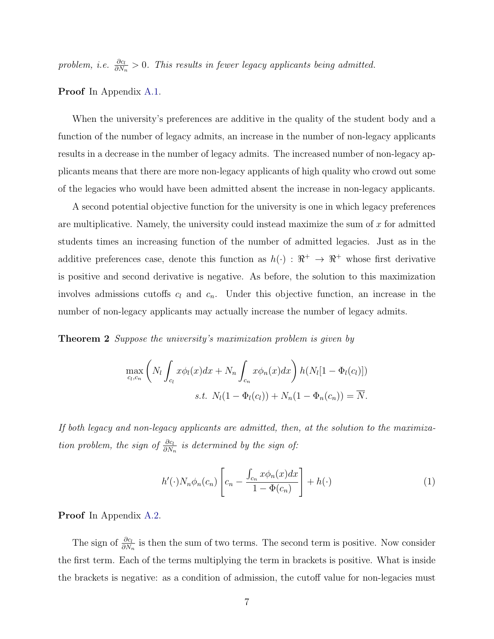problem, i.e.  $\frac{\partial c_l}{\partial N_n} > 0$ . This results in fewer legacy applicants being admitted.

Proof In Appendix [A.1.](#page-30-1)

When the university's preferences are additive in the quality of the student body and a function of the number of legacy admits, an increase in the number of non-legacy applicants results in a decrease in the number of legacy admits. The increased number of non-legacy applicants means that there are more non-legacy applicants of high quality who crowd out some of the legacies who would have been admitted absent the increase in non-legacy applicants.

A second potential objective function for the university is one in which legacy preferences are multiplicative. Namely, the university could instead maximize the sum of  $x$  for admitted students times an increasing function of the number of admitted legacies. Just as in the additive preferences case, denote this function as  $h(\cdot) : \mathbb{R}^+ \to \mathbb{R}^+$  whose first derivative is positive and second derivative is negative. As before, the solution to this maximization involves admissions cutoffs  $c_l$  and  $c_n$ . Under this objective function, an increase in the number of non-legacy applicants may actually increase the number of legacy admits.

**Theorem 2** Suppose the university's maximization problem is given by

$$
\max_{c_l,c_n} \left( N_l \int_{c_l} x \phi_l(x) dx + N_n \int_{c_n} x \phi_n(x) dx \right) h(N_l[1 - \Phi_l(c_l)])
$$
  
s.t. 
$$
N_l(1 - \Phi_l(c_l)) + N_n(1 - \Phi_n(c_n)) = \overline{N}.
$$

If both legacy and non-legacy applicants are admitted, then, at the solution to the maximization problem, the sign of  $\frac{\partial c_l}{\partial N_n}$  is determined by the sign of:

$$
h'(\cdot)N_n\phi_n(c_n)\left[c_n - \frac{\int_{c_n} x\phi_n(x)dx}{1 - \Phi(c_n)}\right] + h(\cdot)
$$
\n(1)

Proof In Appendix [A.2.](#page-31-0)

The sign of  $\frac{\partial c_l}{\partial N_n}$  is then the sum of two terms. The second term is positive. Now consider the first term. Each of the terms multiplying the term in brackets is positive. What is inside the brackets is negative: as a condition of admission, the cutoff value for non-legacies must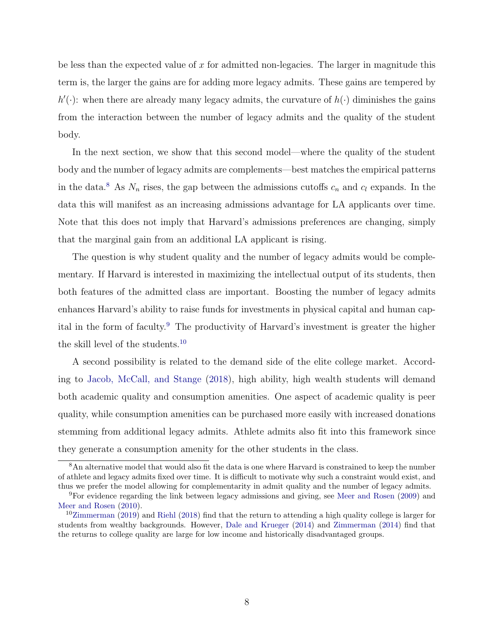be less than the expected value of x for admitted non-legacies. The larger in magnitude this term is, the larger the gains are for adding more legacy admits. These gains are tempered by  $h'(\cdot)$ : when there are already many legacy admits, the curvature of  $h(\cdot)$  diminishes the gains from the interaction between the number of legacy admits and the quality of the student body.

In the next section, we show that this second model—where the quality of the student body and the number of legacy admits are complements—best matches the empirical patterns in the data.<sup>[8](#page-8-0)</sup> As  $N_n$  rises, the gap between the admissions cutoffs  $c_n$  and  $c_l$  expands. In the data this will manifest as an increasing admissions advantage for LA applicants over time. Note that this does not imply that Harvard's admissions preferences are changing, simply that the marginal gain from an additional LA applicant is rising.

The question is why student quality and the number of legacy admits would be complementary. If Harvard is interested in maximizing the intellectual output of its students, then both features of the admitted class are important. Boosting the number of legacy admits enhances Harvard's ability to raise funds for investments in physical capital and human cap-ital in the form of faculty.<sup>[9](#page-8-1)</sup> The productivity of Harvard's investment is greater the higher the skill level of the students.[10](#page-8-2)

A second possibility is related to the demand side of the elite college market. According to [Jacob, McCall, and Stange](#page-23-7) [\(2018\)](#page-23-7), high ability, high wealth students will demand both academic quality and consumption amenities. One aspect of academic quality is peer quality, while consumption amenities can be purchased more easily with increased donations stemming from additional legacy admits. Athlete admits also fit into this framework since they generate a consumption amenity for the other students in the class.

<span id="page-8-0"></span><sup>&</sup>lt;sup>8</sup>An alternative model that would also fit the data is one where Harvard is constrained to keep the number of athlete and legacy admits fixed over time. It is difficult to motivate why such a constraint would exist, and thus we prefer the model allowing for complementarity in admit quality and the number of legacy admits.

<span id="page-8-1"></span><sup>9</sup>For evidence regarding the link between legacy admissions and giving, see [Meer and Rosen](#page-24-2) [\(2009\)](#page-24-2) and [Meer and Rosen](#page-24-3) [\(2010\)](#page-24-3).

<span id="page-8-2"></span> $10Z$ immerman [\(2019\)](#page-24-4) and [Riehl](#page-24-5) [\(2018\)](#page-24-5) find that the return to attending a high quality college is larger for students from wealthy backgrounds. However, [Dale and Krueger](#page-22-7) [\(2014\)](#page-22-7) and [Zimmerman](#page-24-6) [\(2014\)](#page-24-6) find that the returns to college quality are large for low income and historically disadvantaged groups.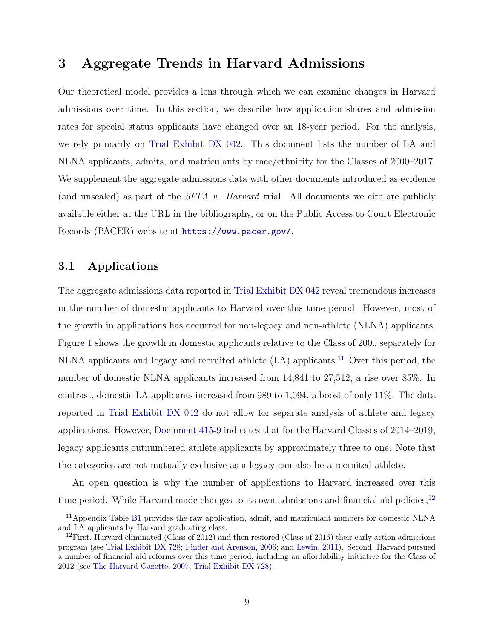### <span id="page-9-0"></span>3 Aggregate Trends in Harvard Admissions

Our theoretical model provides a lens through which we can examine changes in Harvard admissions over time. In this section, we describe how application shares and admission rates for special status applicants have changed over an 18-year period. For the analysis, we rely primarily on [Trial Exhibit DX 042.](#page-24-1) This document lists the number of LA and NLNA applicants, admits, and matriculants by race/ethnicity for the Classes of 2000–2017. We supplement the aggregate admissions data with other documents introduced as evidence (and unsealed) as part of the SFFA v. Harvard trial. All documents we cite are publicly available either at the URL in the bibliography, or on the Public Access to Court Electronic Records (PACER) website at <https://www.pacer.gov/>.

#### 3.1 Applications

The aggregate admissions data reported in [Trial Exhibit DX 042](#page-24-1) reveal tremendous increases in the number of domestic applicants to Harvard over this time period. However, most of the growth in applications has occurred for non-legacy and non-athlete (NLNA) applicants. Figure [1](#page-25-0) shows the growth in domestic applicants relative to the Class of 2000 separately for NLNA applicants and legacy and recruited athlete (LA) applicants.[11](#page-9-1) Over this period, the number of domestic NLNA applicants increased from 14,841 to 27,512, a rise over 85%. In contrast, domestic LA applicants increased from 989 to 1,094, a boost of only 11%. The data reported in [Trial Exhibit DX 042](#page-24-1) do not allow for separate analysis of athlete and legacy applications. However, [Document 415-9](#page-23-8) indicates that for the Harvard Classes of 2014–2019, legacy applicants outnumbered athlete applicants by approximately three to one. Note that the categories are not mutually exclusive as a legacy can also be a recruited athlete.

An open question is why the number of applications to Harvard increased over this time period. While Harvard made changes to its own admissions and financial aid policies,  $12$ 

<span id="page-9-1"></span><sup>&</sup>lt;sup>11</sup>Appendix Table [B1](#page-36-0) provides the raw application, admit, and matriculant numbers for domestic NLNA and LA applicants by Harvard graduating class.

<span id="page-9-2"></span> $12$ First, Harvard eliminated (Class of 2012) and then restored (Class of 2016) their early action admissions program (see [Trial Exhibit DX 728;](#page-24-7) [Finder and Arenson,](#page-23-9) [2006;](#page-23-9) and [Lewin,](#page-24-8) [2011\)](#page-24-8). Second, Harvard pursued a number of financial aid reforms over this time period, including an affordability initiative for the Class of 2012 (see [The Harvard Gazette,](#page-24-9) [2007;](#page-24-9) [Trial Exhibit DX 728\)](#page-24-7).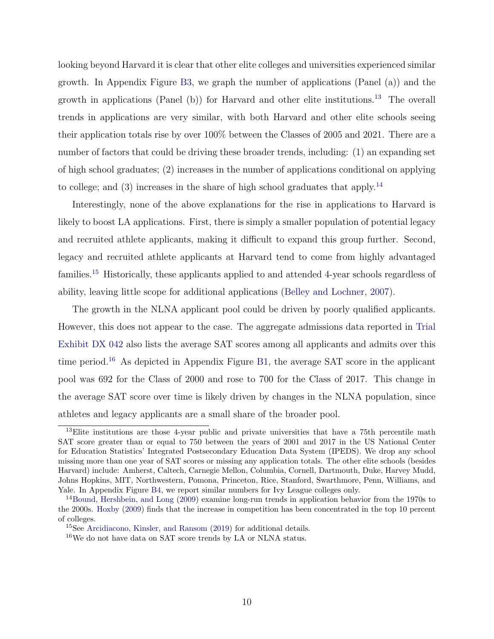looking beyond Harvard it is clear that other elite colleges and universities experienced similar growth. In Appendix Figure [B3,](#page-37-0) we graph the number of applications (Panel (a)) and the growth in applications (Panel (b)) for Harvard and other elite institutions.[13](#page-10-0) The overall trends in applications are very similar, with both Harvard and other elite schools seeing their application totals rise by over 100% between the Classes of 2005 and 2021. There are a number of factors that could be driving these broader trends, including: (1) an expanding set of high school graduates; (2) increases in the number of applications conditional on applying to college; and  $(3)$  increases in the share of high school graduates that apply.<sup>[14](#page-10-1)</sup>

Interestingly, none of the above explanations for the rise in applications to Harvard is likely to boost LA applications. First, there is simply a smaller population of potential legacy and recruited athlete applicants, making it difficult to expand this group further. Second, legacy and recruited athlete applicants at Harvard tend to come from highly advantaged families.[15](#page-10-2) Historically, these applicants applied to and attended 4-year schools regardless of ability, leaving little scope for additional applications [\(Belley and Lochner,](#page-22-8) [2007\)](#page-22-8).

The growth in the NLNA applicant pool could be driven by poorly qualified applicants. However, this does not appear to the case. The aggregate admissions data reported in [Trial](#page-24-1) [Exhibit DX 042](#page-24-1) also lists the average SAT scores among all applicants and admits over this time period.<sup>[16](#page-10-3)</sup> As depicted in Appendix Figure [B1,](#page-34-0) the average SAT score in the applicant pool was 692 for the Class of 2000 and rose to 700 for the Class of 2017. This change in the average SAT score over time is likely driven by changes in the NLNA population, since athletes and legacy applicants are a small share of the broader pool.

<span id="page-10-0"></span><sup>&</sup>lt;sup>13</sup>Elite institutions are those 4-year public and private universities that have a 75th percentile math SAT score greater than or equal to 750 between the years of 2001 and 2017 in the US National Center for Education Statistics' Integrated Postsecondary Education Data System (IPEDS). We drop any school missing more than one year of SAT scores or missing any application totals. The other elite schools (besides Harvard) include: Amherst, Caltech, Carnegie Mellon, Columbia, Cornell, Dartmouth, Duke, Harvey Mudd, Johns Hopkins, MIT, Northwestern, Pomona, Princeton, Rice, Stanford, Swarthmore, Penn, Williams, and Yale. In Appendix Figure [B4,](#page-38-0) we report similar numbers for Ivy League colleges only.

<span id="page-10-1"></span><sup>&</sup>lt;sup>14</sup>[Bound, Hershbein, and Long](#page-22-9) [\(2009\)](#page-22-9) examine long-run trends in application behavior from the 1970s to the 2000s. [Hoxby](#page-23-10) [\(2009\)](#page-23-10) finds that the increase in competition has been concentrated in the top 10 percent of colleges.

<span id="page-10-2"></span><sup>15</sup>See [Arcidiacono, Kinsler, and Ransom](#page-22-3) [\(2019\)](#page-22-3) for additional details.

<span id="page-10-3"></span><sup>16</sup>We do not have data on SAT score trends by LA or NLNA status.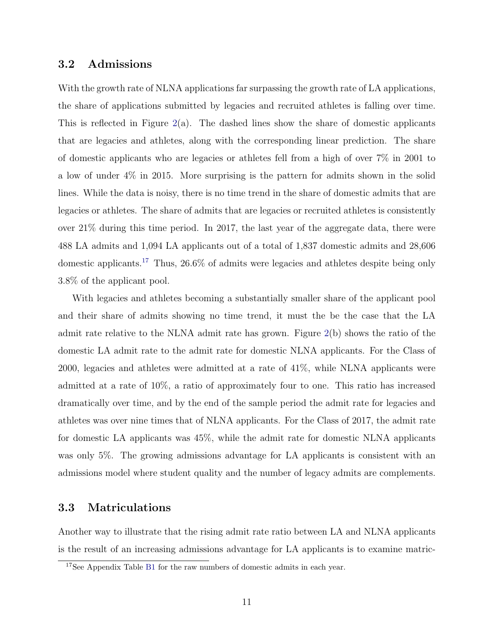#### 3.2 Admissions

With the growth rate of NLNA applications far surpassing the growth rate of LA applications, the share of applications submitted by legacies and recruited athletes is falling over time. This is reflected in Figure [2\(](#page-26-0)a). The dashed lines show the share of domestic applicants that are legacies and athletes, along with the corresponding linear prediction. The share of domestic applicants who are legacies or athletes fell from a high of over 7% in 2001 to a low of under 4% in 2015. More surprising is the pattern for admits shown in the solid lines. While the data is noisy, there is no time trend in the share of domestic admits that are legacies or athletes. The share of admits that are legacies or recruited athletes is consistently over 21% during this time period. In 2017, the last year of the aggregate data, there were 488 LA admits and 1,094 LA applicants out of a total of 1,837 domestic admits and 28,606 domestic applicants.[17](#page-11-0) Thus, 26.6% of admits were legacies and athletes despite being only 3.8% of the applicant pool.

With legacies and athletes becoming a substantially smaller share of the applicant pool and their share of admits showing no time trend, it must the be the case that the LA admit rate relative to the NLNA admit rate has grown. Figure [2\(](#page-26-0)b) shows the ratio of the domestic LA admit rate to the admit rate for domestic NLNA applicants. For the Class of 2000, legacies and athletes were admitted at a rate of 41%, while NLNA applicants were admitted at a rate of 10%, a ratio of approximately four to one. This ratio has increased dramatically over time, and by the end of the sample period the admit rate for legacies and athletes was over nine times that of NLNA applicants. For the Class of 2017, the admit rate for domestic LA applicants was 45%, while the admit rate for domestic NLNA applicants was only 5%. The growing admissions advantage for LA applicants is consistent with an admissions model where student quality and the number of legacy admits are complements.

#### 3.3 Matriculations

Another way to illustrate that the rising admit rate ratio between LA and NLNA applicants is the result of an increasing admissions advantage for LA applicants is to examine matric-

<span id="page-11-0"></span><sup>17</sup>See Appendix Table [B1](#page-36-0) for the raw numbers of domestic admits in each year.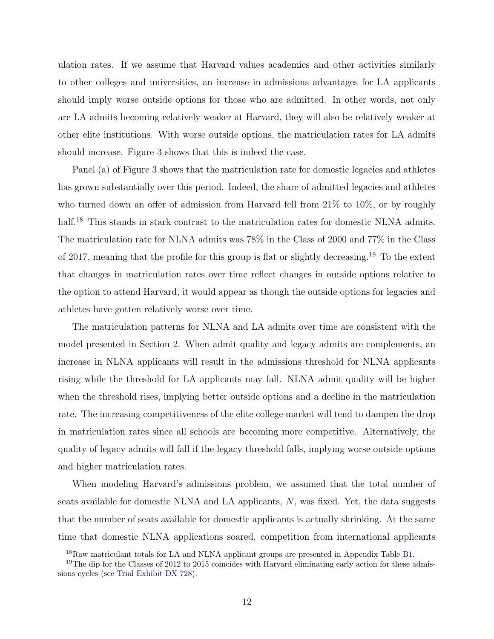ulation rates. If we assume that Harvard values academics and other activities similarly to other colleges and universities, an increase in admissions advantages for LA applicants should imply worse outside options for those who are admitted. In other words, not only are LA admits becoming relatively weaker at Harvard, they will also be relatively weaker at other elite institutions. With worse outside options, the matriculation rates for LA admits should increase. Figure [3](#page-26-1) shows that this is indeed the case.

Panel (a) of Figure [3](#page-26-1) shows that the matriculation rate for domestic legacies and athletes has grown substantially over this period. Indeed, the share of admitted legacies and athletes who turned down an offer of admission from Harvard fell from 21% to 10%, or by roughly half.<sup>[18](#page-12-0)</sup> This stands in stark contrast to the matriculation rates for domestic NLNA admits. The matriculation rate for NLNA admits was 78% in the Class of 2000 and 77% in the Class of 2017, meaning that the profile for this group is flat or slightly decreasing.[19](#page-12-1) To the extent that changes in matriculation rates over time reflect changes in outside options relative to the option to attend Harvard, it would appear as though the outside options for legacies and athletes have gotten relatively worse over time.

The matriculation patterns for NLNA and LA admits over time are consistent with the model presented in Section [2.](#page-5-0) When admit quality and legacy admits are complements, an increase in NLNA applicants will result in the admissions threshold for NLNA applicants rising while the threshold for LA applicants may fall. NLNA admit quality will be higher when the threshold rises, implying better outside options and a decline in the matriculation rate. The increasing competitiveness of the elite college market will tend to dampen the drop in matriculation rates since all schools are becoming more competitive. Alternatively, the quality of legacy admits will fall if the legacy threshold falls, implying worse outside options and higher matriculation rates.

When modeling Harvard's admissions problem, we assumed that the total number of seats available for domestic NLNA and LA applicants,  $\overline{N}$ , was fixed. Yet, the data suggests that the number of seats available for domestic applicants is actually shrinking. At the same time that domestic NLNA applications soared, competition from international applicants

<span id="page-12-1"></span><span id="page-12-0"></span><sup>18</sup>Raw matriculant totals for LA and NLNA applicant groups are presented in Appendix Table [B1.](#page-36-0)

<sup>&</sup>lt;sup>19</sup>The dip for the Classes of 2012 to 2015 coincides with Harvard eliminating early action for these admissions cycles (see [Trial Exhibit DX 728\)](#page-24-7).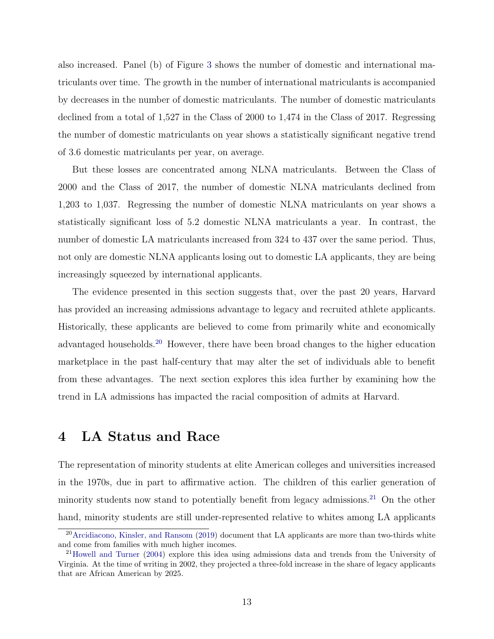also increased. Panel (b) of Figure [3](#page-26-1) shows the number of domestic and international matriculants over time. The growth in the number of international matriculants is accompanied by decreases in the number of domestic matriculants. The number of domestic matriculants declined from a total of 1,527 in the Class of 2000 to 1,474 in the Class of 2017. Regressing the number of domestic matriculants on year shows a statistically significant negative trend of 3.6 domestic matriculants per year, on average.

But these losses are concentrated among NLNA matriculants. Between the Class of 2000 and the Class of 2017, the number of domestic NLNA matriculants declined from 1,203 to 1,037. Regressing the number of domestic NLNA matriculants on year shows a statistically significant loss of 5.2 domestic NLNA matriculants a year. In contrast, the number of domestic LA matriculants increased from 324 to 437 over the same period. Thus, not only are domestic NLNA applicants losing out to domestic LA applicants, they are being increasingly squeezed by international applicants.

The evidence presented in this section suggests that, over the past 20 years, Harvard has provided an increasing admissions advantage to legacy and recruited athlete applicants. Historically, these applicants are believed to come from primarily white and economically advantaged households.[20](#page-13-1) However, there have been broad changes to the higher education marketplace in the past half-century that may alter the set of individuals able to benefit from these advantages. The next section explores this idea further by examining how the trend in LA admissions has impacted the racial composition of admits at Harvard.

#### <span id="page-13-0"></span>4 LA Status and Race

The representation of minority students at elite American colleges and universities increased in the 1970s, due in part to affirmative action. The children of this earlier generation of minority students now stand to potentially benefit from legacy admissions.<sup>[21](#page-13-2)</sup> On the other hand, minority students are still under-represented relative to whites among LA applicants

<span id="page-13-1"></span><sup>20</sup>[Arcidiacono, Kinsler, and Ransom](#page-22-3) [\(2019\)](#page-22-3) document that LA applicants are more than two-thirds white and come from families with much higher incomes.

<span id="page-13-2"></span><sup>21</sup>[Howell and Turner](#page-23-11) [\(2004\)](#page-23-11) explore this idea using admissions data and trends from the University of Virginia. At the time of writing in 2002, they projected a three-fold increase in the share of legacy applicants that are African American by 2025.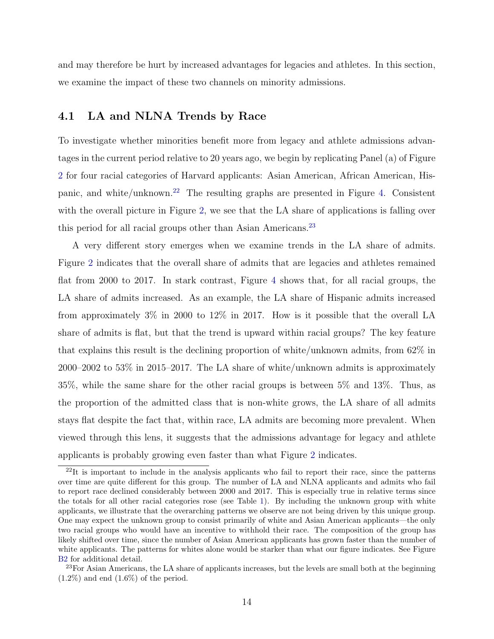and may therefore be hurt by increased advantages for legacies and athletes. In this section, we examine the impact of these two channels on minority admissions.

#### 4.1 LA and NLNA Trends by Race

To investigate whether minorities benefit more from legacy and athlete admissions advantages in the current period relative to 20 years ago, we begin by replicating Panel (a) of Figure [2](#page-26-0) for four racial categories of Harvard applicants: Asian American, African American, Hispanic, and white/unknown.[22](#page-14-0) The resulting graphs are presented in Figure [4.](#page-27-0) Consistent with the overall picture in Figure [2,](#page-26-0) we see that the LA share of applications is falling over this period for all racial groups other than Asian Americans.<sup>[23](#page-14-1)</sup>

A very different story emerges when we examine trends in the LA share of admits. Figure [2](#page-26-0) indicates that the overall share of admits that are legacies and athletes remained flat from 2000 to 2017. In stark contrast, Figure [4](#page-27-0) shows that, for all racial groups, the LA share of admits increased. As an example, the LA share of Hispanic admits increased from approximately 3% in 2000 to 12% in 2017. How is it possible that the overall LA share of admits is flat, but that the trend is upward within racial groups? The key feature that explains this result is the declining proportion of white/unknown admits, from 62% in 2000–2002 to 53% in 2015–2017. The LA share of white/unknown admits is approximately 35%, while the same share for the other racial groups is between 5% and 13%. Thus, as the proportion of the admitted class that is non-white grows, the LA share of all admits stays flat despite the fact that, within race, LA admits are becoming more prevalent. When viewed through this lens, it suggests that the admissions advantage for legacy and athlete applicants is probably growing even faster than what Figure [2](#page-26-0) indicates.

<span id="page-14-0"></span> $^{22}$ It is important to include in the analysis applicants who fail to report their race, since the patterns over time are quite different for this group. The number of LA and NLNA applicants and admits who fail to report race declined considerably between 2000 and 2017. This is especially true in relative terms since the totals for all other racial categories rose (see Table [1\)](#page-28-0). By including the unknown group with white applicants, we illustrate that the overarching patterns we observe are not being driven by this unique group. One may expect the unknown group to consist primarily of white and Asian American applicants—the only two racial groups who would have an incentive to withhold their race. The composition of the group has likely shifted over time, since the number of Asian American applicants has grown faster than the number of white applicants. The patterns for whites alone would be starker than what our figure indicates. See Figure [B2](#page-35-0) for additional detail.

<span id="page-14-1"></span><sup>&</sup>lt;sup>23</sup>For Asian Americans, the LA share of applicants increases, but the levels are small both at the beginning  $(1.2\%)$  and end  $(1.6\%)$  of the period.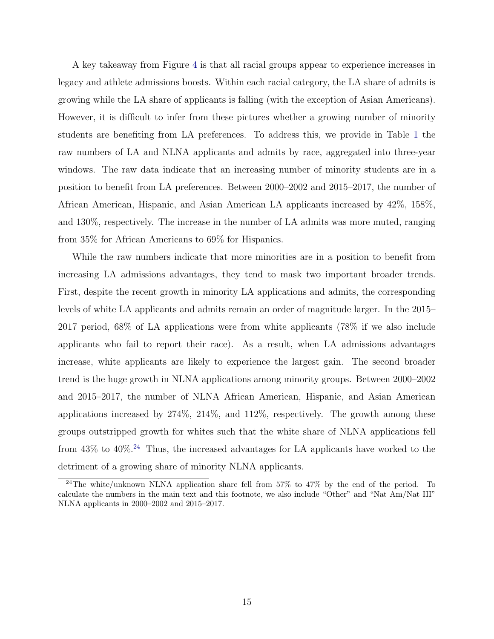A key takeaway from Figure [4](#page-27-0) is that all racial groups appear to experience increases in legacy and athlete admissions boosts. Within each racial category, the LA share of admits is growing while the LA share of applicants is falling (with the exception of Asian Americans). However, it is difficult to infer from these pictures whether a growing number of minority students are benefiting from LA preferences. To address this, we provide in Table [1](#page-28-0) the raw numbers of LA and NLNA applicants and admits by race, aggregated into three-year windows. The raw data indicate that an increasing number of minority students are in a position to benefit from LA preferences. Between 2000–2002 and 2015–2017, the number of African American, Hispanic, and Asian American LA applicants increased by 42%, 158%, and 130%, respectively. The increase in the number of LA admits was more muted, ranging from 35% for African Americans to 69% for Hispanics.

While the raw numbers indicate that more minorities are in a position to benefit from increasing LA admissions advantages, they tend to mask two important broader trends. First, despite the recent growth in minority LA applications and admits, the corresponding levels of white LA applicants and admits remain an order of magnitude larger. In the 2015– 2017 period, 68% of LA applications were from white applicants (78% if we also include applicants who fail to report their race). As a result, when LA admissions advantages increase, white applicants are likely to experience the largest gain. The second broader trend is the huge growth in NLNA applications among minority groups. Between 2000–2002 and 2015–2017, the number of NLNA African American, Hispanic, and Asian American applications increased by 274%, 214%, and 112%, respectively. The growth among these groups outstripped growth for whites such that the white share of NLNA applications fell from 43% to 40%.<sup>[24](#page-15-0)</sup> Thus, the increased advantages for LA applicants have worked to the detriment of a growing share of minority NLNA applicants.

<span id="page-15-0"></span><sup>&</sup>lt;sup>24</sup>The white/unknown NLNA application share fell from 57% to 47% by the end of the period. To calculate the numbers in the main text and this footnote, we also include "Other" and "Nat Am/Nat HI" NLNA applicants in 2000–2002 and 2015–2017.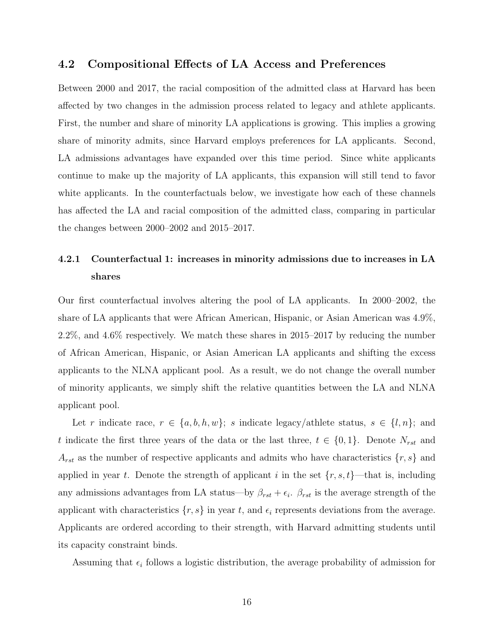#### 4.2 Compositional Effects of LA Access and Preferences

Between 2000 and 2017, the racial composition of the admitted class at Harvard has been affected by two changes in the admission process related to legacy and athlete applicants. First, the number and share of minority LA applications is growing. This implies a growing share of minority admits, since Harvard employs preferences for LA applicants. Second, LA admissions advantages have expanded over this time period. Since white applicants continue to make up the majority of LA applicants, this expansion will still tend to favor white applicants. In the counterfactuals below, we investigate how each of these channels has affected the LA and racial composition of the admitted class, comparing in particular the changes between 2000–2002 and 2015–2017.

### 4.2.1 Counterfactual 1: increases in minority admissions due to increases in LA shares

Our first counterfactual involves altering the pool of LA applicants. In 2000–2002, the share of LA applicants that were African American, Hispanic, or Asian American was 4.9%, 2.2%, and 4.6% respectively. We match these shares in 2015–2017 by reducing the number of African American, Hispanic, or Asian American LA applicants and shifting the excess applicants to the NLNA applicant pool. As a result, we do not change the overall number of minority applicants, we simply shift the relative quantities between the LA and NLNA applicant pool.

Let r indicate race,  $r \in \{a, b, h, w\}$ ; s indicate legacy/athlete status,  $s \in \{l, n\}$ ; and t indicate the first three years of the data or the last three,  $t \in \{0, 1\}$ . Denote  $N_{rst}$  and  $A_{rst}$  as the number of respective applicants and admits who have characteristics  $\{r, s\}$  and applied in year t. Denote the strength of applicant i in the set  $\{r, s, t\}$ —that is, including any admissions advantages from LA status—by  $\beta_{rst} + \epsilon_i$ .  $\beta_{rst}$  is the average strength of the applicant with characteristics  $\{r, s\}$  in year t, and  $\epsilon_i$  represents deviations from the average. Applicants are ordered according to their strength, with Harvard admitting students until its capacity constraint binds.

Assuming that  $\epsilon_i$  follows a logistic distribution, the average probability of admission for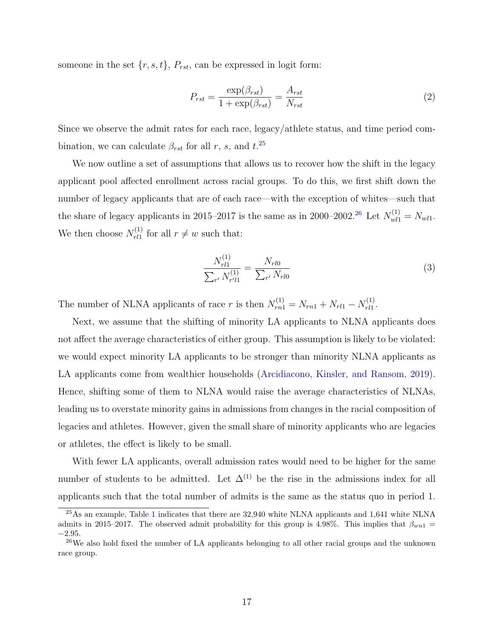someone in the set  $\{r, s, t\}$ ,  $P_{rst}$ , can be expressed in logit form:

$$
P_{rst} = \frac{\exp(\beta_{rst})}{1 + \exp(\beta_{rst})} = \frac{A_{rst}}{N_{rst}}
$$
\n<sup>(2)</sup>

Since we observe the admit rates for each race, legacy/athlete status, and time period combination, we can calculate  $\beta_{rst}$  for all r, s, and  $t^{25}$  $t^{25}$  $t^{25}$ 

We now outline a set of assumptions that allows us to recover how the shift in the legacy applicant pool affected enrollment across racial groups. To do this, we first shift down the number of legacy applicants that are of each race—with the exception of whites—such that the share of legacy applicants in 2015–2017 is the same as in 2000–2002.<sup>[26](#page-17-1)</sup> Let  $N_{wll}^{(1)} = N_{wll}$ . We then choose  $N_{rl1}^{(1)}$  $r_{r11}^{(1)}$  for all  $r \neq w$  such that:

$$
\frac{N_{rl1}^{(1)}}{\sum_{r'} N_{r'l1}^{(1)}} = \frac{N_{rl0}}{\sum_{r'} N_{rl0}}\tag{3}
$$

The number of NLNA applicants of race r is then  $N_{rn1}^{(1)} = N_{rn1} + N_{rl1} - N_{rl1}^{(1)}$  $r^{(1)}_{rl}$ .

Next, we assume that the shifting of minority LA applicants to NLNA applicants does not affect the average characteristics of either group. This assumption is likely to be violated: we would expect minority LA applicants to be stronger than minority NLNA applicants as LA applicants come from wealthier households [\(Arcidiacono, Kinsler, and Ransom,](#page-22-3) [2019\)](#page-22-3). Hence, shifting some of them to NLNA would raise the average characteristics of NLNAs, leading us to overstate minority gains in admissions from changes in the racial composition of legacies and athletes. However, given the small share of minority applicants who are legacies or athletes, the effect is likely to be small.

With fewer LA applicants, overall admission rates would need to be higher for the same number of students to be admitted. Let  $\Delta^{(1)}$  be the rise in the admissions index for all applicants such that the total number of admits is the same as the status quo in period 1.

<span id="page-17-0"></span><sup>25</sup>As an example, Table [1](#page-28-0) indicates that there are 32,940 white NLNA applicants and 1,641 white NLNA admits in 2015–2017. The observed admit probability for this group is 4.98%. This implies that  $\beta_{wn1}$  = −2.95.

<span id="page-17-1"></span><sup>&</sup>lt;sup>26</sup>We also hold fixed the number of LA applicants belonging to all other racial groups and the unknown race group.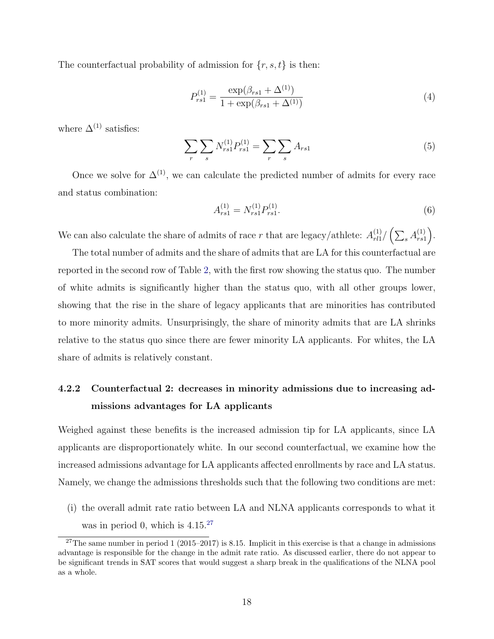The counterfactual probability of admission for  $\{r, s, t\}$  is then:

$$
P_{rs1}^{(1)} = \frac{\exp(\beta_{rs1} + \Delta^{(1)})}{1 + \exp(\beta_{rs1} + \Delta^{(1)})}
$$
(4)

where  $\Delta^{(1)}$  satisfies:

$$
\sum_{r} \sum_{s} N_{rs1}^{(1)} P_{rs1}^{(1)} = \sum_{r} \sum_{s} A_{rs1}
$$
 (5)

Once we solve for  $\Delta^{(1)}$ , we can calculate the predicted number of admits for every race and status combination:

$$
A_{rs1}^{(1)} = N_{rs1}^{(1)} P_{rs1}^{(1)}.
$$
\n(6)

We can also calculate the share of admits of race r that are legacy/athlete:  $A_{rl1}^{(1)}$  $r^{(1)}_{rl1}/\left(\sum_{s} A^{(1)}_{rs1}\right)$  $\binom{1}{rs1}.$ 

The total number of admits and the share of admits that are LA for this counterfactual are reported in the second row of Table [2,](#page-29-0) with the first row showing the status quo. The number of white admits is significantly higher than the status quo, with all other groups lower, showing that the rise in the share of legacy applicants that are minorities has contributed to more minority admits. Unsurprisingly, the share of minority admits that are LA shrinks relative to the status quo since there are fewer minority LA applicants. For whites, the LA share of admits is relatively constant.

### 4.2.2 Counterfactual 2: decreases in minority admissions due to increasing admissions advantages for LA applicants

Weighed against these benefits is the increased admission tip for LA applicants, since LA applicants are disproportionately white. In our second counterfactual, we examine how the increased admissions advantage for LA applicants affected enrollments by race and LA status. Namely, we change the admissions thresholds such that the following two conditions are met:

(i) the overall admit rate ratio between LA and NLNA applicants corresponds to what it was in period 0, which is  $4.15^{27}$  $4.15^{27}$  $4.15^{27}$ 

<span id="page-18-0"></span><sup>&</sup>lt;sup>27</sup>The same number in period 1 (2015–2017) is 8.15. Implicit in this exercise is that a change in admissions advantage is responsible for the change in the admit rate ratio. As discussed earlier, there do not appear to be significant trends in SAT scores that would suggest a sharp break in the qualifications of the NLNA pool as a whole.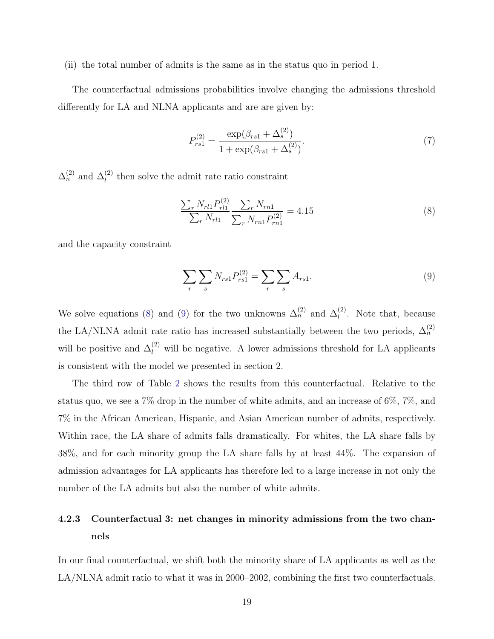(ii) the total number of admits is the same as in the status quo in period 1.

The counterfactual admissions probabilities involve changing the admissions threshold differently for LA and NLNA applicants and are are given by:

$$
P_{rs1}^{(2)} = \frac{\exp(\beta_{rs1} + \Delta_s^{(2)})}{1 + \exp(\beta_{rs1} + \Delta_s^{(2)})}.
$$
\n(7)

 $\Delta_n^{(2)}$  and  $\Delta_l^{(2)}$  then solve the admit rate ratio constraint

<span id="page-19-0"></span>
$$
\frac{\sum_{r} N_{rl1} P_{rl1}^{(2)}}{\sum_{r} N_{rl1}} \frac{\sum_{r} N_{rn1}}{\sum_{r} N_{rn1} P_{rn1}^{(2)}} = 4.15
$$
\n(8)

and the capacity constraint

<span id="page-19-1"></span>
$$
\sum_{r} \sum_{s} N_{rs1} P_{rs1}^{(2)} = \sum_{r} \sum_{s} A_{rs1}.
$$
 (9)

We solve equations [\(8\)](#page-19-0) and [\(9\)](#page-19-1) for the two unknowns  $\Delta_n^{(2)}$  and  $\Delta_l^{(2)}$ . Note that, because the LA/NLNA admit rate ratio has increased substantially between the two periods,  $\Delta_n^{(2)}$ will be positive and  $\Delta_l^{(2)}$  will be negative. A lower admissions threshold for LA applicants is consistent with the model we presented in section 2.

The third row of Table [2](#page-29-0) shows the results from this counterfactual. Relative to the status quo, we see a 7% drop in the number of white admits, and an increase of 6%, 7%, and 7% in the African American, Hispanic, and Asian American number of admits, respectively. Within race, the LA share of admits falls dramatically. For whites, the LA share falls by 38%, and for each minority group the LA share falls by at least 44%. The expansion of admission advantages for LA applicants has therefore led to a large increase in not only the number of the LA admits but also the number of white admits.

### 4.2.3 Counterfactual 3: net changes in minority admissions from the two channels

In our final counterfactual, we shift both the minority share of LA applicants as well as the LA/NLNA admit ratio to what it was in 2000–2002, combining the first two counterfactuals.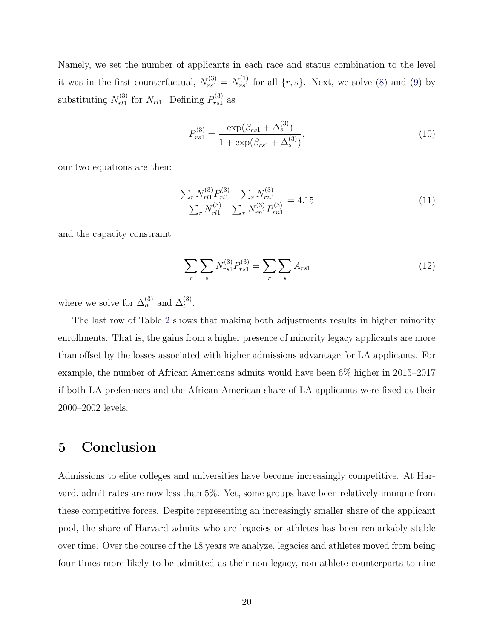Namely, we set the number of applicants in each race and status combination to the level it was in the first counterfactual,  $N_{rs1}^{(3)} = N_{rs1}^{(1)}$  $r_{rs1}^{(1)}$  for all  $\{r, s\}$ . Next, we solve [\(8\)](#page-19-0) and [\(9\)](#page-19-1) by substituting  $N_{rl1}^{(3)}$  $r_{rl1}^{(3)}$  for  $N_{rl1}$ . Defining  $P_{rs1}^{(3)}$  $\frac{\mathfrak{p}(3)}{rs1}$  as

$$
P_{rs1}^{(3)} = \frac{\exp(\beta_{rs1} + \Delta_s^{(3)})}{1 + \exp(\beta_{rs1} + \Delta_s^{(3)})},\tag{10}
$$

our two equations are then:

$$
\frac{\sum_{r} N_{r11}^{(3)} P_{r11}^{(3)}}{\sum_{r} N_{r11}^{(3)}} \frac{\sum_{r} N_{rn1}^{(3)}}{\sum_{r} N_{rn1}^{(3)} P_{rn1}^{(3)}} = 4.15
$$
\n(11)

and the capacity constraint

$$
\sum_{r} \sum_{s} N_{rs1}^{(3)} P_{rs1}^{(3)} = \sum_{r} \sum_{s} A_{rs1}
$$
 (12)

where we solve for  $\Delta_n^{(3)}$  and  $\Delta_l^{(3)}$ .

The last row of Table [2](#page-29-0) shows that making both adjustments results in higher minority enrollments. That is, the gains from a higher presence of minority legacy applicants are more than offset by the losses associated with higher admissions advantage for LA applicants. For example, the number of African Americans admits would have been 6% higher in 2015–2017 if both LA preferences and the African American share of LA applicants were fixed at their 2000–2002 levels.

### <span id="page-20-0"></span>5 Conclusion

Admissions to elite colleges and universities have become increasingly competitive. At Harvard, admit rates are now less than 5%. Yet, some groups have been relatively immune from these competitive forces. Despite representing an increasingly smaller share of the applicant pool, the share of Harvard admits who are legacies or athletes has been remarkably stable over time. Over the course of the 18 years we analyze, legacies and athletes moved from being four times more likely to be admitted as their non-legacy, non-athlete counterparts to nine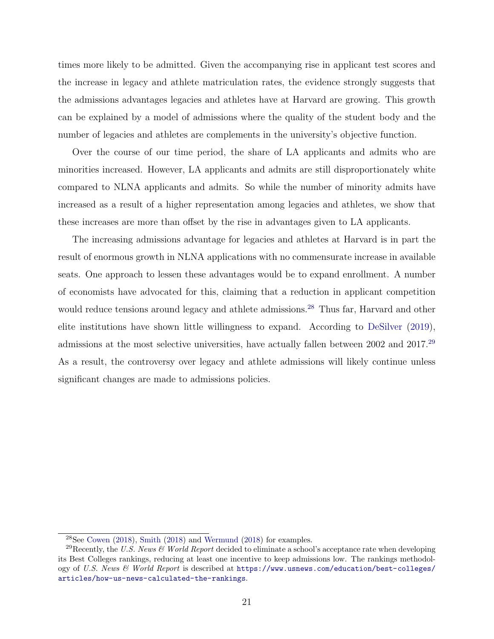times more likely to be admitted. Given the accompanying rise in applicant test scores and the increase in legacy and athlete matriculation rates, the evidence strongly suggests that the admissions advantages legacies and athletes have at Harvard are growing. This growth can be explained by a model of admissions where the quality of the student body and the number of legacies and athletes are complements in the university's objective function.

Over the course of our time period, the share of LA applicants and admits who are minorities increased. However, LA applicants and admits are still disproportionately white compared to NLNA applicants and admits. So while the number of minority admits have increased as a result of a higher representation among legacies and athletes, we show that these increases are more than offset by the rise in advantages given to LA applicants.

The increasing admissions advantage for legacies and athletes at Harvard is in part the result of enormous growth in NLNA applications with no commensurate increase in available seats. One approach to lessen these advantages would be to expand enrollment. A number of economists have advocated for this, claiming that a reduction in applicant competition would reduce tensions around legacy and athlete admissions.<sup>[28](#page-21-0)</sup> Thus far, Harvard and other elite institutions have shown little willingness to expand. According to [DeSilver](#page-23-12) [\(2019\)](#page-23-12), admissions at the most selective universities, have actually fallen between 2002 and 2017.[29](#page-21-1) As a result, the controversy over legacy and athlete admissions will likely continue unless significant changes are made to admissions policies.

<span id="page-21-1"></span><span id="page-21-0"></span><sup>28</sup>See [Cowen](#page-22-10) [\(2018\)](#page-22-10), [Smith](#page-24-0) [\(2018\)](#page-24-0) and [Wermund](#page-24-10) [\(2018\)](#page-24-10) for examples.

<sup>&</sup>lt;sup>29</sup>Recently, the U.S. News & World Report decided to eliminate a school's acceptance rate when developing its Best Colleges rankings, reducing at least one incentive to keep admissions low. The rankings methodology of U.S. News & World Report is described at [https://www.usnews.com/education/best-colleges/](https://www.usnews.com/education/best-colleges/articles/how-us-news-calculated-the-rankings) [articles/how-us-news-calculated-the-rankings](https://www.usnews.com/education/best-colleges/articles/how-us-news-calculated-the-rankings).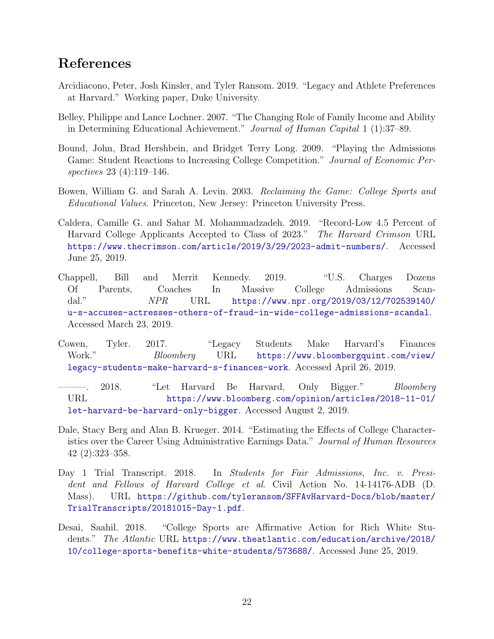## References

- <span id="page-22-3"></span>Arcidiacono, Peter, Josh Kinsler, and Tyler Ransom. 2019. "Legacy and Athlete Preferences at Harvard." Working paper, Duke University.
- <span id="page-22-8"></span>Belley, Philippe and Lance Lochner. 2007. "The Changing Role of Family Income and Ability in Determining Educational Achievement." Journal of Human Capital 1 (1):37–89.
- <span id="page-22-9"></span>Bound, John, Brad Hershbein, and Bridget Terry Long. 2009. "Playing the Admissions Game: Student Reactions to Increasing College Competition." Journal of Economic Perspectives 23 (4):119–146.
- <span id="page-22-5"></span>Bowen, William G. and Sarah A. Levin. 2003. Reclaiming the Game: College Sports and Educational Values. Princeton, New Jersey: Princeton University Press.
- <span id="page-22-0"></span>Caldera, Camille G. and Sahar M. Mohammadzadeh. 2019. "Record-Low 4.5 Percent of Harvard College Applicants Accepted to Class of 2023." The Harvard Crimson URL <https://www.thecrimson.com/article/2019/3/29/2023-admit-numbers/>. Accessed June 25, 2019.
- <span id="page-22-2"></span>Chappell, Bill and Merrit Kennedy. 2019. "U.S. Charges Dozens Of Parents, Coaches In Massive College Admissions Scandal." NPR URL [https://www.npr.org/2019/03/12/702539140/](https://www.npr.org/2019/03/12/702539140/u-s-accuses-actresses-others-of-fraud-in-wide-college-admissions-scandal) [u-s-accuses-actresses-others-of-fraud-in-wide-college-admissions-scandal](https://www.npr.org/2019/03/12/702539140/u-s-accuses-actresses-others-of-fraud-in-wide-college-admissions-scandal). Accessed March 23, 2019.
- <span id="page-22-4"></span>Cowen, Tyler. 2017. "Legacy Students Make Harvard's Finances Work." Bloomberg URL [https://www.bloombergquint.com/view/](https://www.bloombergquint.com/view/legacy-students-make-harvard-s-finances-work) [legacy-students-make-harvard-s-finances-work](https://www.bloombergquint.com/view/legacy-students-make-harvard-s-finances-work). Accessed April 26, 2019.
- <span id="page-22-10"></span>2018. "Let Harvard Be Harvard, Only Bigger." Bloomberg URL [https://www.bloomberg.com/opinion/articles/2018-11-01/](https://www.bloomberg.com/opinion/articles/2018-11-01/let-harvard-be-harvard-only-bigger) [let-harvard-be-harvard-only-bigger](https://www.bloomberg.com/opinion/articles/2018-11-01/let-harvard-be-harvard-only-bigger). Accessed August 2, 2019.
- <span id="page-22-7"></span>Dale, Stacy Berg and Alan B. Krueger. 2014. "Estimating the Effects of College Characteristics over the Career Using Administrative Earnings Data." Journal of Human Resources 42 (2):323–358.
- <span id="page-22-6"></span>Day 1 Trial Transcript. 2018. In Students for Fair Admissions, Inc. v. President and Fellows of Harvard College et al. Civil Action No. 14-14176-ADB (D. Mass). URL [https://github.com/tyleransom/SFFAvHarvard-Docs/blob/master/](https://github.com/tyleransom/SFFAvHarvard-Docs/blob/master/TrialTranscripts/20181015-Day-1.pdf) [TrialTranscripts/20181015-Day-1.pdf](https://github.com/tyleransom/SFFAvHarvard-Docs/blob/master/TrialTranscripts/20181015-Day-1.pdf).
- <span id="page-22-1"></span>Desai, Saahil. 2018. "College Sports are Affirmative Action for Rich White Students." The Atlantic URL [https://www.theatlantic.com/education/archive/2018/](https://www.theatlantic.com/education/archive/2018/10/college-sports-benefits-white-students/573688/) [10/college-sports-benefits-white-students/573688/](https://www.theatlantic.com/education/archive/2018/10/college-sports-benefits-white-students/573688/). Accessed June 25, 2019.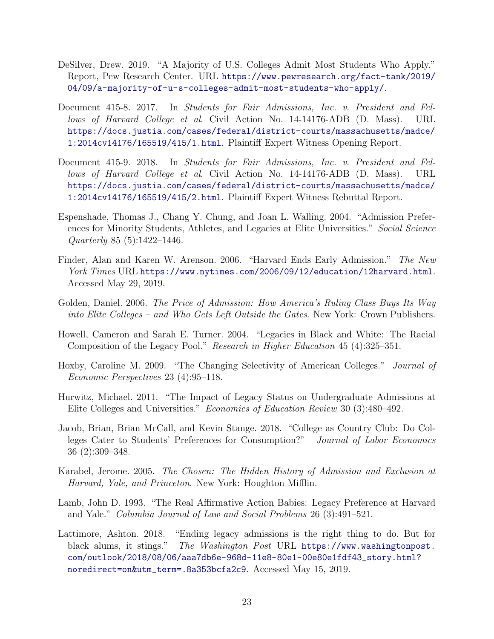- <span id="page-23-12"></span>DeSilver, Drew. 2019. "A Majority of U.S. Colleges Admit Most Students Who Apply." Report, Pew Research Center. URL [https://www.pewresearch.org/fact-tank/2019/](https://www.pewresearch.org/fact-tank/2019/04/09/a-majority-of-u-s-colleges-admit-most-students-who-apply/) [04/09/a-majority-of-u-s-colleges-admit-most-students-who-apply/](https://www.pewresearch.org/fact-tank/2019/04/09/a-majority-of-u-s-colleges-admit-most-students-who-apply/).
- <span id="page-23-0"></span>Document 415-8. 2017. In Students for Fair Admissions, Inc. v. President and Fellows of Harvard College et al. Civil Action No. 14-14176-ADB (D. Mass). URL [https://docs.justia.com/cases/federal/district-courts/massachusetts/madce/](https://docs.justia.com/cases/federal/district-courts/massachusetts/madce/1:2014cv14176/165519/415/1.html) [1:2014cv14176/165519/415/1.html](https://docs.justia.com/cases/federal/district-courts/massachusetts/madce/1:2014cv14176/165519/415/1.html). Plaintiff Expert Witness Opening Report.
- <span id="page-23-8"></span>Document 415-9. 2018. In Students for Fair Admissions, Inc. v. President and Fellows of Harvard College et al. Civil Action No. 14-14176-ADB (D. Mass). URL [https://docs.justia.com/cases/federal/district-courts/massachusetts/madce/](https://docs.justia.com/cases/federal/district-courts/massachusetts/madce/1:2014cv14176/165519/415/2.html) [1:2014cv14176/165519/415/2.html](https://docs.justia.com/cases/federal/district-courts/massachusetts/madce/1:2014cv14176/165519/415/2.html). Plaintiff Expert Witness Rebuttal Report.
- <span id="page-23-6"></span>Espenshade, Thomas J., Chang Y. Chung, and Joan L. Walling. 2004. "Admission Preferences for Minority Students, Athletes, and Legacies at Elite Universities." Social Science Quarterly 85 (5):1422–1446.
- <span id="page-23-9"></span>Finder, Alan and Karen W. Arenson. 2006. "Harvard Ends Early Admission." The New York Times URL <https://www.nytimes.com/2006/09/12/education/12harvard.html>. Accessed May 29, 2019.
- <span id="page-23-3"></span>Golden, Daniel. 2006. The Price of Admission: How America's Ruling Class Buys Its Way into Elite Colleges – and Who Gets Left Outside the Gates. New York: Crown Publishers.
- <span id="page-23-11"></span>Howell, Cameron and Sarah E. Turner. 2004. "Legacies in Black and White: The Racial Composition of the Legacy Pool." Research in Higher Education 45 (4):325–351.
- <span id="page-23-10"></span>Hoxby, Caroline M. 2009. "The Changing Selectivity of American Colleges." Journal of Economic Perspectives 23 (4):95–118.
- <span id="page-23-5"></span>Hurwitz, Michael. 2011. "The Impact of Legacy Status on Undergraduate Admissions at Elite Colleges and Universities." Economics of Education Review 30 (3):480–492.
- <span id="page-23-7"></span>Jacob, Brian, Brian McCall, and Kevin Stange. 2018. "College as Country Club: Do Colleges Cater to Students' Preferences for Consumption?" Journal of Labor Economics 36 (2):309–348.
- <span id="page-23-2"></span>Karabel, Jerome. 2005. The Chosen: The Hidden History of Admission and Exclusion at Harvard, Yale, and Princeton. New York: Houghton Mifflin.
- <span id="page-23-1"></span>Lamb, John D. 1993. "The Real Affirmative Action Babies: Legacy Preference at Harvard and Yale." Columbia Journal of Law and Social Problems 26 (3):491–521.
- <span id="page-23-4"></span>Lattimore, Ashton. 2018. "Ending legacy admissions is the right thing to do. But for black alums, it stings." The Washington Post URL [https://www.washingtonpost.](https://www.washingtonpost.com/outlook/2018/08/06/aaa7db6e-968d-11e8-80e1-00e80e1fdf43_story.html?noredirect=on&utm_term=.8a353bcfa2c9) [com/outlook/2018/08/06/aaa7db6e-968d-11e8-80e1-00e80e1fdf43\\_story.html?](https://www.washingtonpost.com/outlook/2018/08/06/aaa7db6e-968d-11e8-80e1-00e80e1fdf43_story.html?noredirect=on&utm_term=.8a353bcfa2c9) [noredirect=on&utm\\_term=.8a353bcfa2c9](https://www.washingtonpost.com/outlook/2018/08/06/aaa7db6e-968d-11e8-80e1-00e80e1fdf43_story.html?noredirect=on&utm_term=.8a353bcfa2c9). Accessed May 15, 2019.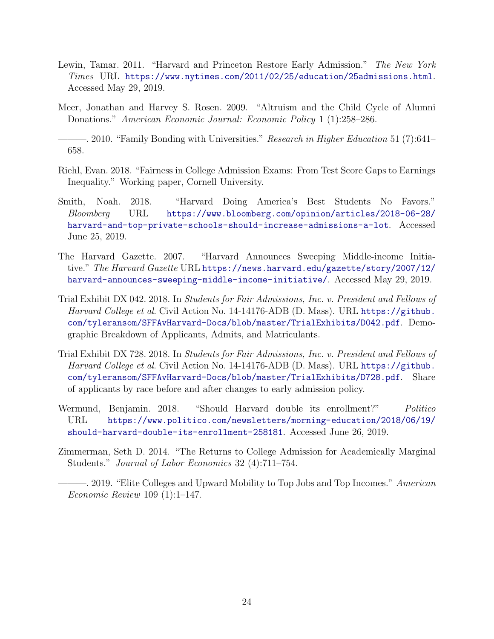- <span id="page-24-11"></span><span id="page-24-8"></span>Lewin, Tamar. 2011. "Harvard and Princeton Restore Early Admission." The New York Times URL <https://www.nytimes.com/2011/02/25/education/25admissions.html>. Accessed May 29, 2019.
- <span id="page-24-2"></span>Meer, Jonathan and Harvey S. Rosen. 2009. "Altruism and the Child Cycle of Alumni Donations." American Economic Journal: Economic Policy 1 (1):258–286.
- <span id="page-24-3"></span>—. 2010. "Family Bonding with Universities." Research in Higher Education 51 (7):641– 658.
- <span id="page-24-5"></span>Riehl, Evan. 2018. "Fairness in College Admission Exams: From Test Score Gaps to Earnings Inequality." Working paper, Cornell University.
- <span id="page-24-0"></span>Smith, Noah. 2018. "Harvard Doing America's Best Students No Favors." Bloomberg URL [https://www.bloomberg.com/opinion/articles/2018-06-28/](https://www.bloomberg.com/opinion/articles/2018-06-28/harvard-and-top-private-schools-should-increase-admissions-a-lot) [harvard-and-top-private-schools-should-increase-admissions-a-lot](https://www.bloomberg.com/opinion/articles/2018-06-28/harvard-and-top-private-schools-should-increase-admissions-a-lot). Accessed June 25, 2019.
- <span id="page-24-9"></span>The Harvard Gazette. 2007. "Harvard Announces Sweeping Middle-income Initiative." The Harvard Gazette URL [https://news.harvard.edu/gazette/story/2007/12/](https://news.harvard.edu/gazette/story/2007/12/harvard-announces-sweeping-middle-income-initiative/) [harvard-announces-sweeping-middle-income-initiative/](https://news.harvard.edu/gazette/story/2007/12/harvard-announces-sweeping-middle-income-initiative/). Accessed May 29, 2019.
- <span id="page-24-1"></span>Trial Exhibit DX 042. 2018. In Students for Fair Admissions, Inc. v. President and Fellows of Harvard College et al. Civil Action No. 14-14176-ADB (D. Mass). URL [https://github.](https://github.com/tyleransom/SFFAvHarvard-Docs/blob/master/TrialExhibits/D042.pdf) [com/tyleransom/SFFAvHarvard-Docs/blob/master/TrialExhibits/D042.pdf](https://github.com/tyleransom/SFFAvHarvard-Docs/blob/master/TrialExhibits/D042.pdf). Demographic Breakdown of Applicants, Admits, and Matriculants.
- <span id="page-24-7"></span>Trial Exhibit DX 728. 2018. In Students for Fair Admissions, Inc. v. President and Fellows of Harvard College et al. Civil Action No. 14-14176-ADB (D. Mass). URL [https://github.](https://github.com/tyleransom/SFFAvHarvard-Docs/blob/master/TrialExhibits/D728.pdf) [com/tyleransom/SFFAvHarvard-Docs/blob/master/TrialExhibits/D728.pdf](https://github.com/tyleransom/SFFAvHarvard-Docs/blob/master/TrialExhibits/D728.pdf). Share of applicants by race before and after changes to early admission policy.
- <span id="page-24-10"></span>Wermund, Benjamin. 2018. "Should Harvard double its enrollment?" Politico URL [https://www.politico.com/newsletters/morning-education/2018/06/19/](https://www.politico.com/newsletters/morning-education/2018/06/19/should-harvard-double-its-enrollment-258181) [should-harvard-double-its-enrollment-258181](https://www.politico.com/newsletters/morning-education/2018/06/19/should-harvard-double-its-enrollment-258181). Accessed June 26, 2019.
- <span id="page-24-6"></span>Zimmerman, Seth D. 2014. "The Returns to College Admission for Academically Marginal Students." Journal of Labor Economics 32 (4):711–754.
- <span id="page-24-4"></span>-. 2019. "Elite Colleges and Upward Mobility to Top Jobs and Top Incomes." American Economic Review 109 (1):1–147.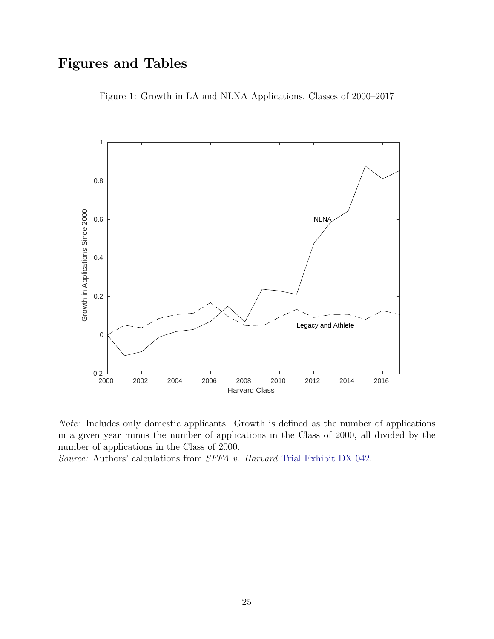# <span id="page-25-0"></span>Figures and Tables

Figure 1: Growth in LA and NLNA Applications, Classes of 2000–2017





Source: Authors' calculations from SFFA v. Harvard [Trial Exhibit DX 042.](#page-24-1)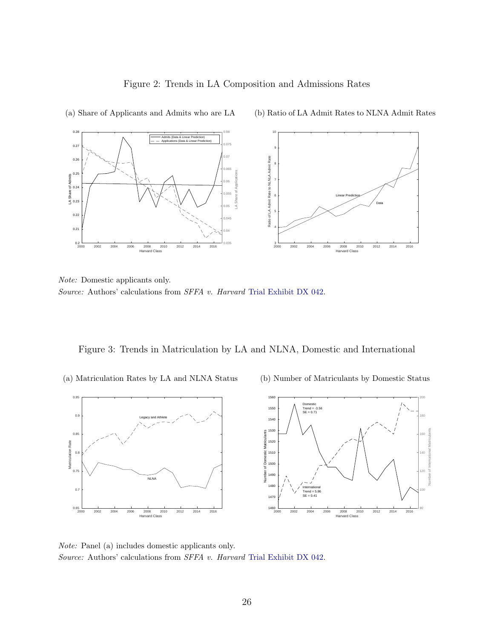

Figure 2: Trends in LA Composition and Admissions Rates

Note: Domestic applicants only. Source: Authors' calculations from SFFA v. Harvard [Trial Exhibit DX 042.](#page-24-1)

<span id="page-26-1"></span>Figure 3: Trends in Matriculation by LA and NLNA, Domestic and International

(a) Matriculation Rates by LA and NLNA Status

<span id="page-26-0"></span>(a) Share of Applicants and Admits who are LA

(b) Number of Matriculants by Domestic Status



Note: Panel (a) includes domestic applicants only. Source: Authors' calculations from SFFA v. Harvard [Trial Exhibit DX 042.](#page-24-1)

(b) Ratio of LA Admit Rates to NLNA Admit Rates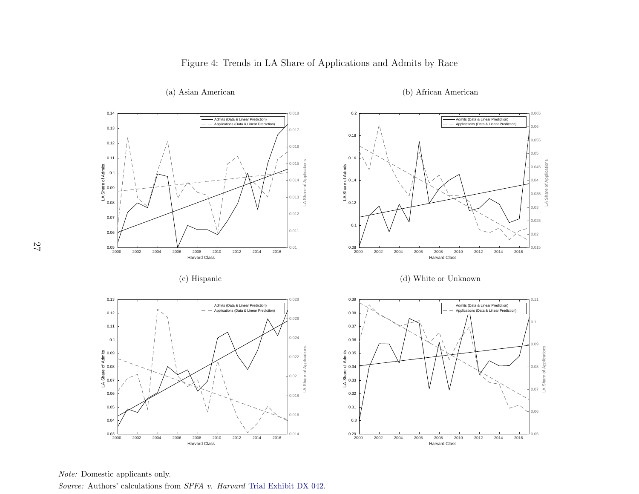

(a) Asian American

(b) African American

Note: Domestic applicants only.

<span id="page-27-0"></span>Source: Authors' calculations from *SFFA v. Harvard* Trial [Exhibit](#page-24-11) DX 042.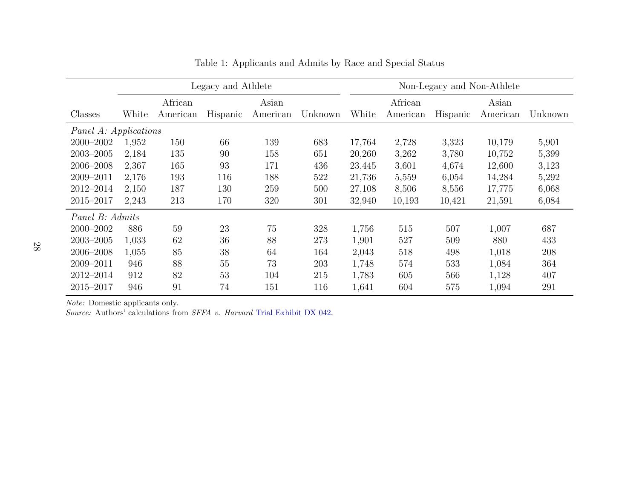|                       | Legacy and Athlete |          |          |          |         | Non-Legacy and Non-Athlete |          |          |          |         |
|-----------------------|--------------------|----------|----------|----------|---------|----------------------------|----------|----------|----------|---------|
|                       |                    | African  |          | Asian    |         |                            | African  |          | Asian    |         |
| Classes               | White              | American | Hispanic | American | Unknown | White                      | American | Hispanic | American | Unknown |
| Panel A: Applications |                    |          |          |          |         |                            |          |          |          |         |
| $2000 - 2002$         | 1,952              | 150      | 66       | 139      | 683     | 17,764                     | 2,728    | 3,323    | 10,179   | 5,901   |
| $2003 - 2005$         | 2,184              | 135      | 90       | 158      | 651     | 20,260                     | 3,262    | 3,780    | 10,752   | 5,399   |
| 2006-2008             | 2,367              | 165      | 93       | 171      | 436     | 23,445                     | 3,601    | 4,674    | 12,600   | 3,123   |
| $2009 - 2011$         | 2,176              | 193      | 116      | 188      | 522     | 21,736                     | 5,559    | 6,054    | 14,284   | 5,292   |
| 2012-2014             | 2,150              | 187      | 130      | 259      | 500     | 27,108                     | 8,506    | 8,556    | 17,775   | 6,068   |
| $2015 - 2017$         | 2,243              | 213      | 170      | 320      | 301     | 32,940                     | 10,193   | 10,421   | 21,591   | 6,084   |
| Panel B: Admits       |                    |          |          |          |         |                            |          |          |          |         |
| $2000 - 2002$         | 886                | 59       | 23       | 75       | 328     | 1,756                      | 515      | 507      | 1,007    | 687     |
| $2003 - 2005$         | 1,033              | 62       | 36       | 88       | 273     | 1,901                      | 527      | 509      | 880      | 433     |
| 2006-2008             | 1,055              | 85       | 38       | 64       | 164     | 2,043                      | 518      | 498      | 1,018    | 208     |
| 2009-2011             | 946                | 88       | 55       | 73       | 203     | 1,748                      | 574      | 533      | 1,084    | 364     |
| 2012-2014             | 912                | 82       | 53       | 104      | 215     | 1,783                      | 605      | 566      | 1,128    | 407     |
| 2015-2017             | 946                | 91       | 74       | 151      | 116     | 1,641                      | 604      | 575      | 1,094    | 291     |

Table 1: Applicants and Admits by Race and Special Status

Note: Domestic applicants only.

<span id="page-28-0"></span>Source: Authors' calculations from *SFFA v. Harvard* Trial [Exhibit](#page-24-11) DX 042.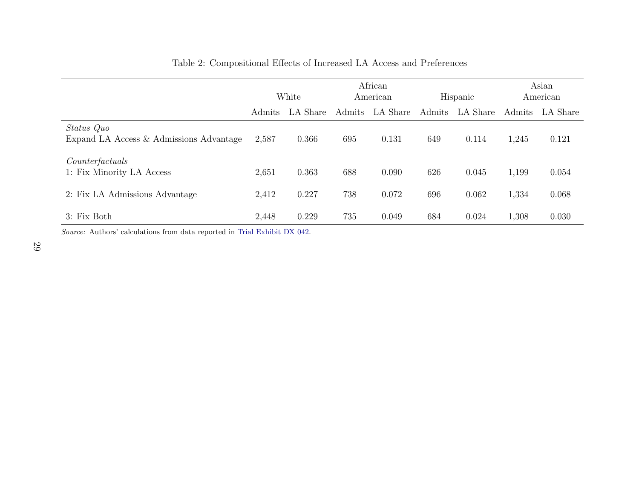|                                                       | White         |          | African<br>American |          | Hispanic |          | Asian<br>American |          |
|-------------------------------------------------------|---------------|----------|---------------------|----------|----------|----------|-------------------|----------|
|                                                       | <b>Admits</b> | LA Share | Admits              | LA Share | Admits   | LA Share | Admits            | LA Share |
| Status Quo<br>Expand LA Access & Admissions Advantage | 2,587         | 0.366    | 695                 | 0.131    | 649      | 0.114    | 1,245             | 0.121    |
| Counterfactuals<br>1: Fix Minority LA Access          | 2,651         | 0.363    | 688                 | 0.090    | 626      | 0.045    | 1,199             | 0.054    |
| 2: Fix LA Admissions Advantage                        | 2,412         | 0.227    | 738                 | 0.072    | 696      | 0.062    | 1,334             | 0.068    |
| 3: Fix Both                                           | 2,448         | 0.229    | 735                 | 0.049    | 684      | 0.024    | 1,308             | 0.030    |

#### Table 2: Compositional Effects of Increased LA Access and Preferences

<span id="page-29-0"></span>Source: Authors' calculations from data reported in Trial [Exhibit](#page-24-11) DX 042.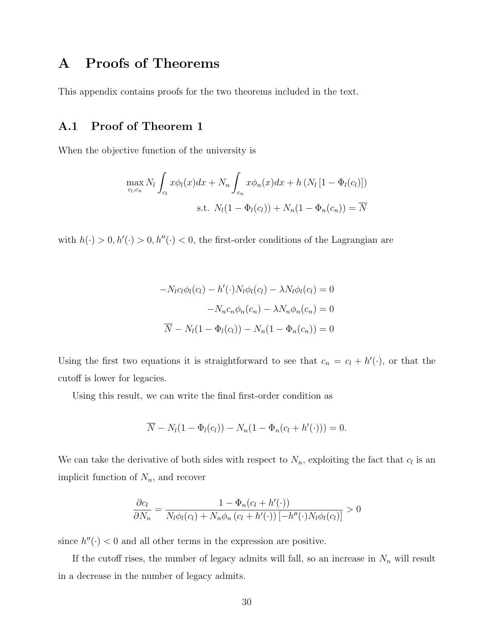## <span id="page-30-0"></span>A Proofs of Theorems

This appendix contains proofs for the two theorems included in the text.

#### <span id="page-30-1"></span>A.1 Proof of Theorem 1

When the objective function of the university is

$$
\max_{c_l,c_n} N_l \int_{c_l} x \phi_l(x) dx + N_n \int_{c_n} x \phi_n(x) dx + h \left( N_l \left[ 1 - \Phi_l(c_l) \right] \right)
$$
  
s.t.  $N_l(1 - \Phi_l(c_l)) + N_n(1 - \Phi_n(c_n)) = \overline{N}$ 

with  $h(\cdot) > 0, h'(\cdot) > 0, h''(\cdot) < 0$ , the first-order conditions of the Lagrangian are

$$
-N_l c_l \phi_l(c_l) - h'(\cdot) N_l \phi_l(c_l) - \lambda N_l \phi_l(c_l) = 0
$$

$$
-N_n c_n \phi_n(c_n) - \lambda N_n \phi_n(c_n) = 0
$$

$$
\overline{N} - N_l (1 - \Phi_l(c_l)) - N_n (1 - \Phi_n(c_n)) = 0
$$

Using the first two equations it is straightforward to see that  $c_n = c_l + h'(\cdot)$ , or that the cutoff is lower for legacies.

Using this result, we can write the final first-order condition as

$$
\overline{N} - N_l(1 - \Phi_l(c_l)) - N_n(1 - \Phi_n(c_l + h'(\cdot))) = 0.
$$

We can take the derivative of both sides with respect to  $N_n$ , exploiting the fact that  $c_l$  is an implicit function of  $N_n$ , and recover

$$
\frac{\partial c_l}{\partial N_n} = \frac{1 - \Phi_n(c_l + h'(\cdot))}{N_l \phi_l(c_l) + N_n \phi_n(c_l + h'(\cdot)) [-h''(\cdot)N_l \phi_l(c_l)]} > 0
$$

since  $h''(·) < 0$  and all other terms in the expression are positive.

If the cutoff rises, the number of legacy admits will fall, so an increase in  $N_n$  will result in a decrease in the number of legacy admits.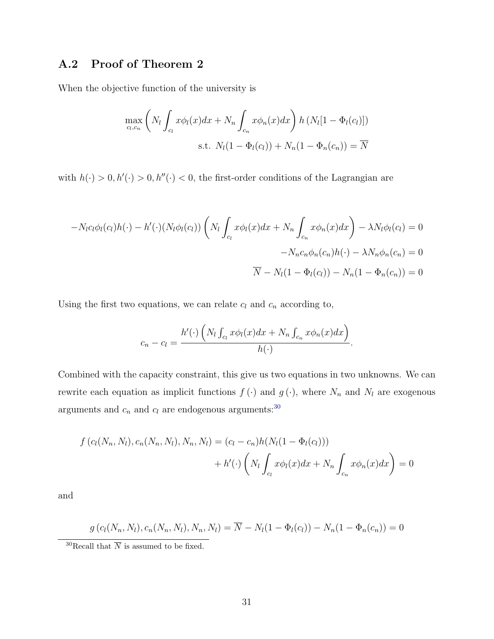### <span id="page-31-0"></span>A.2 Proof of Theorem 2

When the objective function of the university is

$$
\max_{c_l, c_n} \left( N_l \int_{c_l} x \phi_l(x) dx + N_n \int_{c_n} x \phi_n(x) dx \right) h \left( N_l [1 - \Phi_l(c_l)] \right)
$$
  
s.t.  $N_l (1 - \Phi_l(c_l)) + N_n (1 - \Phi_n(c_n)) = \overline{N}$ 

with  $h(\cdot) > 0, h'(\cdot) > 0, h''(\cdot) < 0$ , the first-order conditions of the Lagrangian are

$$
-N_{l}c_{l}\phi_{l}(c_{l})h(\cdot) - h'(\cdot)(N_{l}\phi_{l}(c_{l})) \left(N_{l}\int_{c_{l}} x\phi_{l}(x)dx + N_{n}\int_{c_{n}} x\phi_{n}(x)dx\right) - \lambda N_{l}\phi_{l}(c_{l}) = 0
$$

$$
-N_{n}c_{n}\phi_{n}(c_{n})h(\cdot) - \lambda N_{n}\phi_{n}(c_{n}) = 0
$$

$$
\overline{N} - N_{l}(1 - \Phi_{l}(c_{l})) - N_{n}(1 - \Phi_{n}(c_{n})) = 0
$$

Using the first two equations, we can relate  $c_l$  and  $c_n$  according to,

$$
c_n - c_l = \frac{h'(\cdot) \left( N_l \int_{c_l} x \phi_l(x) dx + N_n \int_{c_n} x \phi_n(x) dx \right)}{h(\cdot)}.
$$

Combined with the capacity constraint, this give us two equations in two unknowns. We can rewrite each equation as implicit functions  $f(\cdot)$  and  $g(\cdot)$ , where  $N_n$  and  $N_l$  are exogenous arguments and  $c_n$  and  $c_l$  are endogenous arguments:<sup>[30](#page-31-1)</sup>

$$
f(c_l(N_n, N_l), c_n(N_n, N_l), N_n, N_l) = (c_l - c_n)h(N_l(1 - \Phi_l(c_l))) + h'(\cdot) \left( N_l \int_{c_l} x \phi_l(x) dx + N_n \int_{c_n} x \phi_n(x) dx \right) = 0
$$

and

$$
g(c_l(N_n, N_l), c_n(N_n, N_l), N_n, N_l) = \overline{N} - N_l(1 - \Phi_l(c_l)) - N_n(1 - \Phi_n(c_n)) = 0
$$

<span id="page-31-1"></span> $^{30}\text{Recall}$  that  $\overline{N}$  is assumed to be fixed.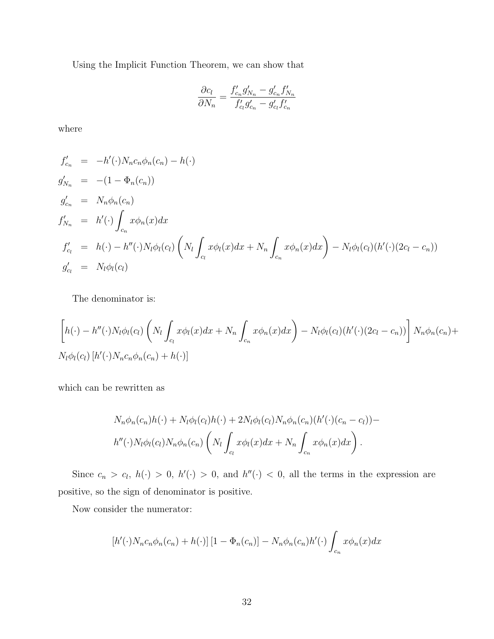Using the Implicit Function Theorem, we can show that

$$
\frac{\partial c_l}{\partial N_n} = \frac{f'_{c_n} g'_{N_n} - g'_{c_n} f'_{N_n}}{f'_{c_l} g'_{c_n} - g'_{c_l} f'_{c_n}}
$$

where

$$
f'_{c_n} = -h'(\cdot)N_n c_n \phi_n(c_n) - h(\cdot)
$$
  
\n
$$
g'_{N_n} = -(1 - \Phi_n(c_n))
$$
  
\n
$$
g'_{c_n} = N_n \phi_n(c_n)
$$
  
\n
$$
f'_{N_n} = h'(\cdot) \int_{c_n} x \phi_n(x) dx
$$
  
\n
$$
f'_{c_l} = h(\cdot) - h''(\cdot)N_l \phi_l(c_l) \left(N_l \int_{c_l} x \phi_l(x) dx + N_n \int_{c_n} x \phi_n(x) dx\right) - N_l \phi_l(c_l) (h'(\cdot) (2c_l - c_n))
$$
  
\n
$$
g'_{c_l} = N_l \phi_l(c_l)
$$

The denominator is:

$$
\left[h(\cdot) - h''(\cdot)N_l\phi_l(c_l)\left(N_l\int_{c_l}x\phi_l(x)dx + N_n\int_{c_n}x\phi_n(x)dx\right) - N_l\phi_l(c_l)(h'(\cdot)(2c_l - c_n))\right]N_n\phi_n(c_n) + N_l\phi_l(c_l)[h'(\cdot)N_n c_n\phi_n(c_n) + h(\cdot)]
$$

which can be rewritten as

$$
N_n \phi_n(c_n)h(\cdot) + N_l \phi_l(c_l)h(\cdot) + 2N_l \phi_l(c_l)N_n \phi_n(c_n)(h'(\cdot)(c_n - c_l)) - h''(\cdot)N_l \phi_l(c_l)N_n \phi_n(c_n) \left(N_l \int_{c_l} x \phi_l(x) dx + N_n \int_{c_n} x \phi_n(x) dx\right).
$$

Since  $c_n > c_l$ ,  $h(\cdot) > 0$ ,  $h'(\cdot) > 0$ , and  $h''(\cdot) < 0$ , all the terms in the expression are positive, so the sign of denominator is positive.

Now consider the numerator:

$$
\left[h'(\cdot)N_n c_n \phi_n(c_n) + h(\cdot)\right]\left[1 - \Phi_n(c_n)\right] - N_n \phi_n(c_n)h'(\cdot) \int_{c_n} x \phi_n(x) dx
$$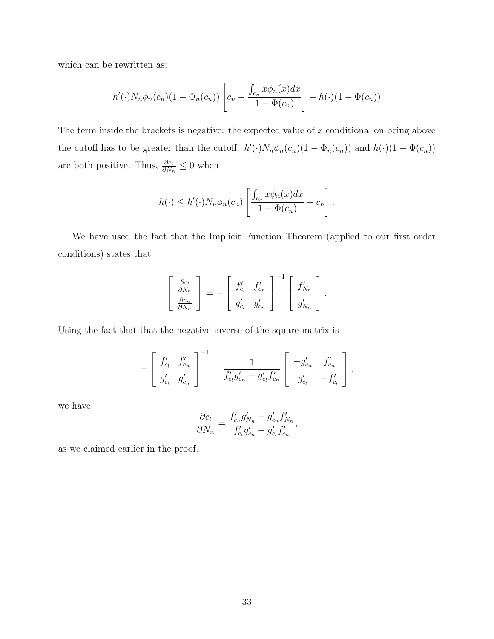which can be rewritten as:

$$
h'(\cdot)N_n\phi_n(c_n)(1-\Phi_n(c_n))\left[c_n-\frac{\int_{c_n}x\phi_n(x)dx}{1-\Phi(c_n)}\right]+h(\cdot)(1-\Phi(c_n))
$$

The term inside the brackets is negative: the expected value of  $x$  conditional on being above the cutoff has to be greater than the cutoff.  $h'(\cdot)N_n\phi_n(c_n)(1-\Phi_n(c_n))$  and  $h(\cdot)(1-\Phi(c_n))$ are both positive. Thus,  $\frac{\partial c_l}{\partial N_n} \leq 0$  when

$$
h(\cdot) \le h'(\cdot)N_n \phi_n(c_n) \left[ \frac{\int_{c_n} x \phi_n(x) dx}{1 - \Phi(c_n)} - c_n \right].
$$

We have used the fact that the Implicit Function Theorem (applied to our first order conditions) states that

$$
\begin{bmatrix}\n\frac{\partial c_l}{\partial N_n} \\
\frac{\partial c_n}{\partial N_n}\n\end{bmatrix} = - \begin{bmatrix}\nf'_{c_l} & f'_{c_n} \\
g'_{c_l} & g'_{c_n}\n\end{bmatrix}^{-1} \begin{bmatrix}\nf'_{N_n} \\
g'_{N_n}\n\end{bmatrix}.
$$

Using the fact that that the negative inverse of the square matrix is

$$
-\left[\begin{array}{cc}f'_{c_l} & f'_{c_n} \\ g'_{c_l} & g'_{c_n}\end{array}\right]^{-1} = \frac{1}{f'_{c_l}g'_{c_n} - g'_{c_l}f'_{c_n}}\left[\begin{array}{cc} -g'_{c_n} & f'_{c_n} \\ g'_{c_l} & -f'_{c_l}\end{array}\right],
$$

we have

$$
\frac{\partial c_l}{\partial N_n} = \frac{f'_{c_n} g'_{N_n} - g'_{c_n} f'_{N_n}}{f'_{c_l} g'_{c_n} - g'_{c_l} f'_{c_n}},
$$

as we claimed earlier in the proof.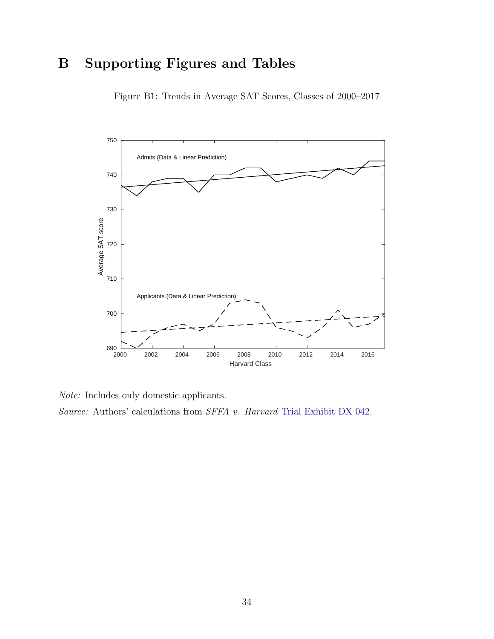# <span id="page-34-0"></span>B Supporting Figures and Tables



Figure B1: Trends in Average SAT Scores, Classes of 2000–2017

Note: Includes only domestic applicants.

Source: Authors' calculations from SFFA v. Harvard [Trial Exhibit DX 042.](#page-24-1)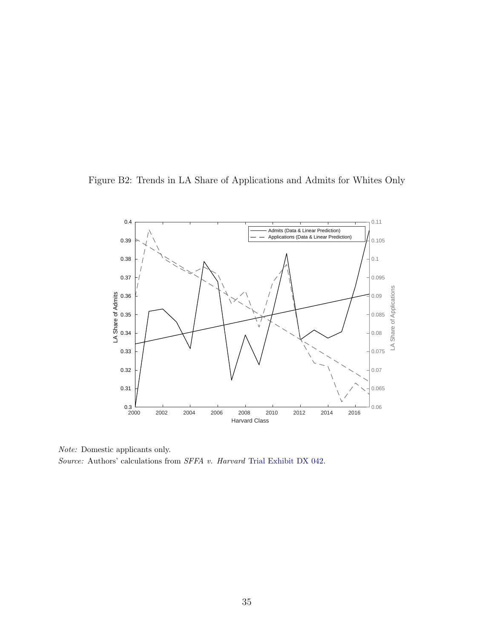<span id="page-35-0"></span>



Note: Domestic applicants only. Source: Authors' calculations from SFFA v. Harvard [Trial Exhibit DX 042.](#page-24-1)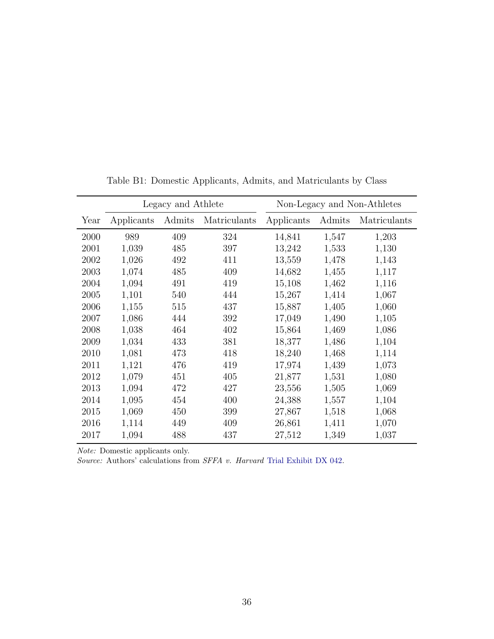<span id="page-36-0"></span>

|      |            | Legacy and Athlete |              | Non-Legacy and Non-Athletes |        |              |  |  |
|------|------------|--------------------|--------------|-----------------------------|--------|--------------|--|--|
| Year | Applicants | Admits             | Matriculants | Applicants                  | Admits | Matriculants |  |  |
| 2000 | 989        | 409                | 324          | 14,841                      | 1,547  | 1,203        |  |  |
| 2001 | 1,039      | 485                | 397          | 13,242                      | 1,533  | 1,130        |  |  |
| 2002 | 1,026      | 492                | 411          | 13,559                      | 1,478  | 1,143        |  |  |
| 2003 | 1,074      | 485                | 409          | 14,682                      | 1,455  | 1,117        |  |  |
| 2004 | 1,094      | 491                | 419          | 15,108                      | 1,462  | 1,116        |  |  |
| 2005 | 1,101      | 540                | 444          | 15,267                      | 1,414  | 1,067        |  |  |
| 2006 | 1,155      | 515                | 437          | 15,887                      | 1,405  | 1,060        |  |  |
| 2007 | 1,086      | 444                | 392          | 17,049                      | 1,490  | 1,105        |  |  |
| 2008 | 1,038      | 464                | 402          | 15,864                      | 1,469  | 1,086        |  |  |
| 2009 | 1,034      | 433                | 381          | 18,377                      | 1,486  | 1,104        |  |  |
| 2010 | 1,081      | 473                | 418          | 18,240                      | 1,468  | 1,114        |  |  |
| 2011 | 1,121      | 476                | 419          | 17,974                      | 1,439  | 1,073        |  |  |
| 2012 | 1,079      | 451                | 405          | 21,877                      | 1,531  | 1,080        |  |  |
| 2013 | 1,094      | 472                | 427          | 23,556                      | 1,505  | 1,069        |  |  |
| 2014 | 1,095      | 454                | 400          | 24,388                      | 1,557  | 1,104        |  |  |
| 2015 | 1,069      | 450                | 399          | 27,867                      | 1,518  | 1,068        |  |  |
| 2016 | 1,114      | 449                | 409          | 26,861                      | 1,411  | 1,070        |  |  |
| 2017 | 1,094      | 488                | 437          | 27,512                      | 1,349  | 1,037        |  |  |

Table B1: Domestic Applicants, Admits, and Matriculants by Class

Note: Domestic applicants only.

Source: Authors' calculations from SFFA v. Harvard [Trial Exhibit DX 042.](#page-24-1)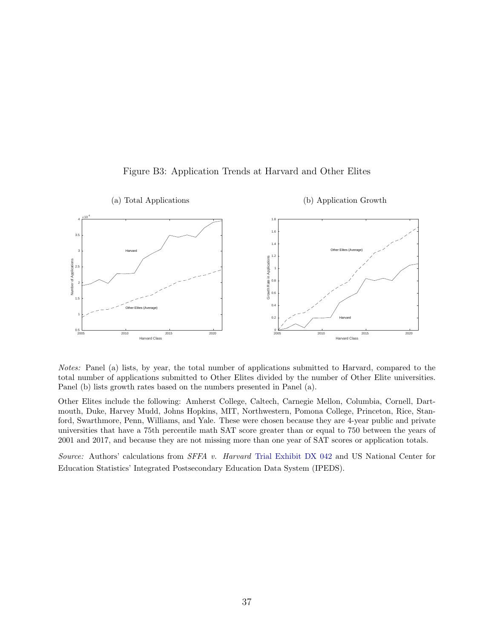<span id="page-37-0"></span>

Figure B3: Application Trends at Harvard and Other Elites

Notes: Panel (a) lists, by year, the total number of applications submitted to Harvard, compared to the total number of applications submitted to Other Elites divided by the number of Other Elite universities. Panel (b) lists growth rates based on the numbers presented in Panel (a).

Other Elites include the following: Amherst College, Caltech, Carnegie Mellon, Columbia, Cornell, Dartmouth, Duke, Harvey Mudd, Johns Hopkins, MIT, Northwestern, Pomona College, Princeton, Rice, Stanford, Swarthmore, Penn, Williams, and Yale. These were chosen because they are 4-year public and private universities that have a 75th percentile math SAT score greater than or equal to 750 between the years of 2001 and 2017, and because they are not missing more than one year of SAT scores or application totals.

Source: Authors' calculations from SFFA v. Harvard [Trial Exhibit DX 042](#page-24-1) and US National Center for Education Statistics' Integrated Postsecondary Education Data System (IPEDS).